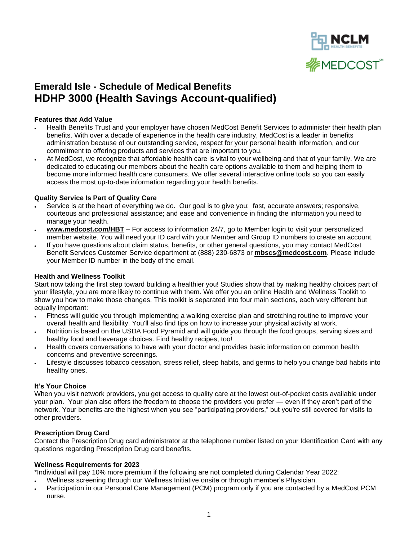

# **Emerald Isle - Schedule of Medical Benefits HDHP 3000 (Health Savings Account-qualified)**

#### **Features that Add Value**

- Health Benefits Trust and your employer have chosen MedCost Benefit Services to administer their health plan benefits. With over a decade of experience in the health care industry, MedCost is a leader in benefits administration because of our outstanding service, respect for your personal health information, and our commitment to offering products and services that are important to you.
- At MedCost, we recognize that affordable health care is vital to your wellbeing and that of your family. We are dedicated to educating our members about the health care options available to them and helping them to become more informed health care consumers. We offer several interactive online tools so you can easily access the most up-to-date information regarding your health benefits.

#### **Quality Service Is Part of Quality Care**

- Service is at the heart of everything we do. Our goal is to give you: fast, accurate answers; responsive, courteous and professional assistance; and ease and convenience in finding the information you need to manage your health.
- **www.medcost.com/HBT** For access to information 24/7, go to [Member login](https://secure.healthx.com/mbshr.aspx) to visit your personalized member website. You will need your ID card with your Member and Group ID numbers to create an account.
- If you have questions about claim status, benefits, or other general questions, you may contact MedCost Benefit Services Customer Service department at (888) 230-6873 or **[mbscs@medcost.com](mailto:mbscs@medcost.com)**. Please include your Member ID number in the body of the email.

#### **Health and Wellness Toolkit**

Start now taking the first step toward building a healthier you! Studies show that by making healthy choices part of your lifestyle, you are more likely to continue with them. We offer you an online Health and Wellness Toolkit to show you how to make those changes. This toolkit is separated into four main sections, each very different but equally important:

- [Fitness](http://www.mbstpa.com/HW_Toolkit_Members_Fitness.htm) will guide you through implementing a walking exercise plan and stretching routine to improve your overall health and flexibility. You'll also find tips on how to increase your physical activity at work.
- [Nutrition](http://www.mbstpa.com/HW_Toolkit_Members_Nutrition.htm) is based on the USDA Food Pyramid and will guide you through the food groups, serving sizes and healthy food and beverage choices. Find healthy recipes, too!
- [Health](http://www.mbstpa.com/HW_Toolkit_Members_Health.htm) covers conversations to have with your doctor and provides basic information on common health concerns and preventive screenings.
- [Lifestyle](http://www.mbstpa.com/HW_Toolkit_Members_Lifestyle.htm) discusses tobacco cessation, stress relief, sleep habits, and germs to help you change bad habits into healthy ones.

#### **It's Your Choice**

When you visit network providers, you get access to quality care at the lowest out-of-pocket costs available under your plan. Your plan also offers the freedom to choose the providers you prefer — even if they aren't part of the network. Your benefits are the highest when you see "participating providers," but you're still covered for visits to other providers.

### **Prescription Drug Card**

Contact the Prescription Drug card administrator at the telephone number listed on your Identification Card with any questions regarding Prescription Drug card benefits.

#### **Wellness Requirements for 2023**

\*Individual will pay 10% more premium if the following are not completed during Calendar Year 2022:

- Wellness screening through our Wellness Initiative onsite or through member's Physician.
- Participation in our Personal Care Management (PCM) program only if you are contacted by a MedCost PCM nurse.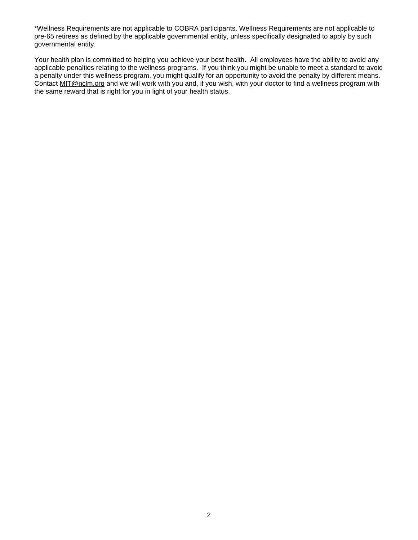\*Wellness Requirements are not applicable to COBRA participants. Wellness Requirements are not applicable to pre-65 retirees as defined by the applicable governmental entity, unless specifically designated to apply by such governmental entity.

Your health plan is committed to helping you achieve your best health. All employees have the ability to avoid any applicable penalties relating to the wellness programs. If you think you might be unable to meet a standard to avoid a penalty under this wellness program, you might qualify for an opportunity to avoid the penalty by different means. Contact [MIT@nclm.org](mailto:MIT@nclm.org) and we will work with you and, if you wish, with your doctor to find a wellness program with the same reward that is right for you in light of your health status.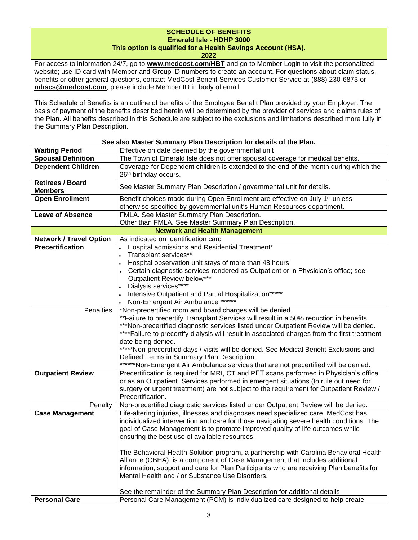# **SCHEDULE OF BENEFITS Emerald Isle - HDHP 3000**

## **This option is qualified for a Health Savings Account (HSA).**

**2022**

For access to information 24/7, go to **[www.medcost.com/HBT](http://www.medcost.com/)** and go to Member Login to visit the personalized website; use ID card with Member and Group ID numbers to create an account. For questions about claim status, benefits or other general questions, contact MedCost Benefit Services Customer Service at (888) 230-6873 or **mbscs@medcost.com**; please include Member ID in body of email.

This Schedule of Benefits is an outline of benefits of the Employee Benefit Plan provided by your Employer. The basis of payment of the benefits described herein will be determined by the provider of services and claims rules of the Plan. All benefits described in this Schedule are subject to the exclusions and limitations described more fully in the Summary Plan Description.

| See also Master Summary Plan Description for details of the Plan. |                                                                                                |  |
|-------------------------------------------------------------------|------------------------------------------------------------------------------------------------|--|
| <b>Waiting Period</b>                                             | Effective on date deemed by the governmental unit                                              |  |
| <b>Spousal Definition</b>                                         | The Town of Emerald Isle does not offer spousal coverage for medical benefits.                 |  |
| <b>Dependent Children</b>                                         | Coverage for Dependent children is extended to the end of the month during which the           |  |
|                                                                   | 26 <sup>th</sup> birthday occurs.                                                              |  |
| <b>Retirees / Board</b>                                           |                                                                                                |  |
| <b>Members</b>                                                    | See Master Summary Plan Description / governmental unit for details.                           |  |
| <b>Open Enrollment</b>                                            | Benefit choices made during Open Enrollment are effective on July 1 <sup>st</sup> unless       |  |
|                                                                   | otherwise specified by governmental unit's Human Resources department.                         |  |
| <b>Leave of Absence</b>                                           | FMLA. See Master Summary Plan Description.                                                     |  |
|                                                                   | Other than FMLA. See Master Summary Plan Description.                                          |  |
|                                                                   | <b>Network and Health Management</b>                                                           |  |
| <b>Network / Travel Option</b>                                    | As indicated on Identification card                                                            |  |
| <b>Precertification</b>                                           | Hospital admissions and Residential Treatment*<br>$\bullet$                                    |  |
|                                                                   | Transplant services**                                                                          |  |
|                                                                   | Hospital observation unit stays of more than 48 hours                                          |  |
|                                                                   | Certain diagnostic services rendered as Outpatient or in Physician's office; see               |  |
|                                                                   | Outpatient Review below***                                                                     |  |
|                                                                   | Dialysis services****                                                                          |  |
|                                                                   | Intensive Outpatient and Partial Hospitalization*****                                          |  |
|                                                                   | Non-Emergent Air Ambulance ******                                                              |  |
| Penalties                                                         | *Non-precertified room and board charges will be denied.                                       |  |
|                                                                   | ** Failure to precertify Transplant Services will result in a 50% reduction in benefits.       |  |
|                                                                   | ***Non-precertified diagnostic services listed under Outpatient Review will be denied.         |  |
|                                                                   | **** Failure to precertify dialysis will result in associated charges from the first treatment |  |
|                                                                   | date being denied.                                                                             |  |
|                                                                   | *****Non-precertified days / visits will be denied. See Medical Benefit Exclusions and         |  |
|                                                                   | Defined Terms in Summary Plan Description.                                                     |  |
|                                                                   |                                                                                                |  |
|                                                                   | ******Non-Emergent Air Ambulance services that are not precertified will be denied.            |  |
| <b>Outpatient Review</b>                                          | Precertification is required for MRI, CT and PET scans performed in Physician's office         |  |
|                                                                   | or as an Outpatient. Services performed in emergent situations (to rule out need for           |  |
|                                                                   | surgery or urgent treatment) are not subject to the requirement for Outpatient Review /        |  |
|                                                                   | Precertification.                                                                              |  |
| Penalty                                                           | Non-precertified diagnostic services listed under Outpatient Review will be denied.            |  |
| <b>Case Management</b>                                            | Life-altering injuries, illnesses and diagnoses need specialized care. MedCost has             |  |
|                                                                   | individualized intervention and care for those navigating severe health conditions. The        |  |
|                                                                   | goal of Case Management is to promote improved quality of life outcomes while                  |  |
|                                                                   | ensuring the best use of available resources.                                                  |  |
|                                                                   |                                                                                                |  |
|                                                                   | The Behavioral Health Solution program, a partnership with Carolina Behavioral Health          |  |
|                                                                   | Alliance (CBHA), is a component of Case Management that includes additional                    |  |
|                                                                   | information, support and care for Plan Participants who are receiving Plan benefits for        |  |
|                                                                   | Mental Health and / or Substance Use Disorders.                                                |  |
|                                                                   |                                                                                                |  |
|                                                                   | See the remainder of the Summary Plan Description for additional details                       |  |
| <b>Personal Care</b>                                              | Personal Care Management (PCM) is individualized care designed to help create                  |  |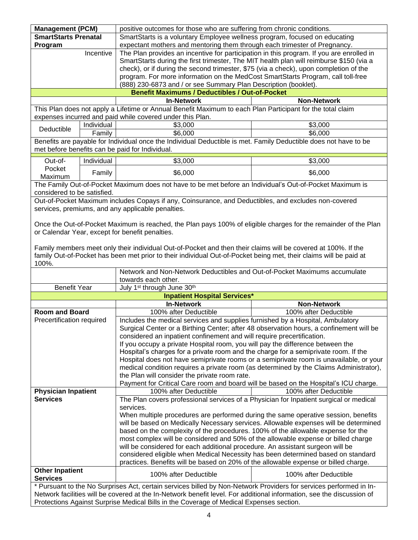|                                                                 |            | <b>Management (PCM)</b><br>positive outcomes for those who are suffering from chronic conditions.                     |                       |
|-----------------------------------------------------------------|------------|-----------------------------------------------------------------------------------------------------------------------|-----------------------|
| <b>SmartStarts Prenatal</b>                                     |            | SmartStarts is a voluntary Employee wellness program, focused on educating                                            |                       |
| Program                                                         |            | expectant mothers and mentoring them through each trimester of Pregnancy.                                             |                       |
| Incentive                                                       |            | The Plan provides an incentive for participation in this program. If you are enrolled in                              |                       |
|                                                                 |            | SmartStarts during the first trimester, The MIT health plan will reimburse \$150 (via a                               |                       |
|                                                                 |            | check), or if during the second trimester, \$75 (via a check), upon completion of the                                 |                       |
|                                                                 |            | program. For more information on the MedCost SmartStarts Program, call toll-free                                      |                       |
| (888) 230-6873 and / or see Summary Plan Description (booklet). |            |                                                                                                                       |                       |
|                                                                 |            | <b>Benefit Maximums / Deductibles / Out-of-Pocket</b>                                                                 |                       |
|                                                                 |            | <b>In-Network</b>                                                                                                     | <b>Non-Network</b>    |
|                                                                 |            | This Plan does not apply a Lifetime or Annual Benefit Maximum to each Plan Participant for the total claim            |                       |
|                                                                 |            | expenses incurred and paid while covered under this Plan.                                                             |                       |
|                                                                 | Individual | \$3,000                                                                                                               | \$3,000               |
| Deductible                                                      | Family     | \$6,000                                                                                                               | \$6,000               |
|                                                                 |            | Benefits are payable for Individual once the Individual Deductible is met. Family Deductible does not have to be      |                       |
|                                                                 |            | met before benefits can be paid for Individual.                                                                       |                       |
|                                                                 |            |                                                                                                                       |                       |
| Out-of-                                                         | Individual | \$3,000                                                                                                               | \$3,000               |
| Pocket                                                          | Family     | \$6,000                                                                                                               | \$6,000               |
| Maximum                                                         |            |                                                                                                                       |                       |
|                                                                 |            | The Family Out-of-Pocket Maximum does not have to be met before an Individual's Out-of-Pocket Maximum is              |                       |
| considered to be satisfied.                                     |            |                                                                                                                       |                       |
|                                                                 |            | Out-of-Pocket Maximum includes Copays if any, Coinsurance, and Deductibles, and excludes non-covered                  |                       |
|                                                                 |            | services, premiums, and any applicable penalties.                                                                     |                       |
|                                                                 |            |                                                                                                                       |                       |
|                                                                 |            | Once the Out-of-Pocket Maximum is reached, the Plan pays 100% of eligible charges for the remainder of the Plan       |                       |
|                                                                 |            | or Calendar Year, except for benefit penalties.                                                                       |                       |
|                                                                 |            |                                                                                                                       |                       |
|                                                                 |            | Family members meet only their individual Out-of-Pocket and then their claims will be covered at 100%. If the         |                       |
|                                                                 |            | family Out-of-Pocket has been met prior to their individual Out-of-Pocket being met, their claims will be paid at     |                       |
| 100%.                                                           |            |                                                                                                                       |                       |
|                                                                 |            |                                                                                                                       |                       |
|                                                                 |            | Network and Non-Network Deductibles and Out-of-Pocket Maximums accumulate                                             |                       |
|                                                                 |            | towards each other.                                                                                                   |                       |
| <b>Benefit Year</b>                                             |            | July 1 <sup>st</sup> through June 30 <sup>th</sup>                                                                    |                       |
|                                                                 |            | <b>Inpatient Hospital Services*</b>                                                                                   |                       |
|                                                                 |            | <b>In-Network</b>                                                                                                     | <b>Non-Network</b>    |
| <b>Room and Board</b>                                           |            | 100% after Deductible                                                                                                 | 100% after Deductible |
| Precertification required                                       |            | Includes the medical services and supplies furnished by a Hospital, Ambulatory                                        |                       |
|                                                                 |            | Surgical Center or a Birthing Center; after 48 observation hours, a confinement will be                               |                       |
|                                                                 |            | considered an inpatient confinement and will require precertification.                                                |                       |
|                                                                 |            | If you occupy a private Hospital room, you will pay the difference between the                                        |                       |
|                                                                 |            | Hospital's charges for a private room and the charge for a semiprivate room. If the                                   |                       |
|                                                                 |            | Hospital does not have semiprivate rooms or a semiprivate room is unavailable, or your                                |                       |
|                                                                 |            | medical condition requires a private room (as determined by the Claims Administrator),                                |                       |
|                                                                 |            | the Plan will consider the private room rate.                                                                         |                       |
|                                                                 |            | Payment for Critical Care room and board will be based on the Hospital's ICU charge.                                  |                       |
| <b>Physician Inpatient</b>                                      |            | 100% after Deductible                                                                                                 | 100% after Deductible |
| <b>Services</b>                                                 |            | The Plan covers professional services of a Physician for Inpatient surgical or medical                                |                       |
|                                                                 |            | services.                                                                                                             |                       |
|                                                                 |            | When multiple procedures are performed during the same operative session, benefits                                    |                       |
|                                                                 |            | will be based on Medically Necessary services. Allowable expenses will be determined                                  |                       |
|                                                                 |            | based on the complexity of the procedures. 100% of the allowable expense for the                                      |                       |
|                                                                 |            | most complex will be considered and 50% of the allowable expense or billed charge                                     |                       |
|                                                                 |            | will be considered for each additional procedure. An assistant surgeon will be                                        |                       |
|                                                                 |            | considered eligible when Medical Necessity has been determined based on standard                                      |                       |
|                                                                 |            | practices. Benefits will be based on 20% of the allowable expense or billed charge.                                   |                       |
| <b>Other Inpatient</b>                                          |            |                                                                                                                       |                       |
| <b>Services</b>                                                 |            | 100% after Deductible                                                                                                 | 100% after Deductible |
|                                                                 |            | * Pursuant to the No Surprises Act, certain services billed by Non-Network Providers for services performed in In-    |                       |
|                                                                 |            | Network facilities will be covered at the In-Network benefit level. For additional information, see the discussion of |                       |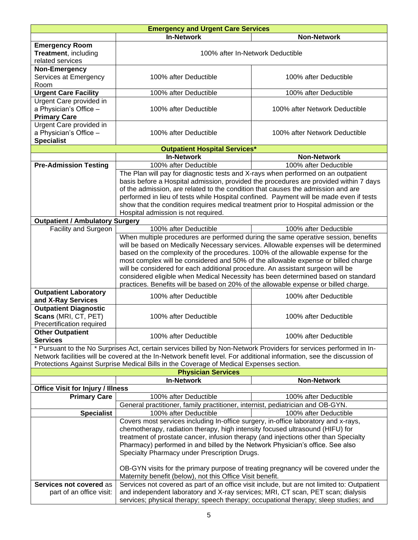| <b>Emergency and Urgent Care Services</b>          |                                                                                                                                                                                 |                               |  |
|----------------------------------------------------|---------------------------------------------------------------------------------------------------------------------------------------------------------------------------------|-------------------------------|--|
|                                                    | <b>In-Network</b>                                                                                                                                                               | <b>Non-Network</b>            |  |
| <b>Emergency Room</b>                              |                                                                                                                                                                                 |                               |  |
| Treatment, including                               | 100% after In-Network Deductible                                                                                                                                                |                               |  |
| related services                                   |                                                                                                                                                                                 |                               |  |
| Non-Emergency                                      |                                                                                                                                                                                 |                               |  |
| Services at Emergency                              | 100% after Deductible                                                                                                                                                           | 100% after Deductible         |  |
| Room<br><b>Urgent Care Facility</b>                | 100% after Deductible                                                                                                                                                           | 100% after Deductible         |  |
| Urgent Care provided in                            |                                                                                                                                                                                 |                               |  |
| a Physician's Office -                             | 100% after Deductible                                                                                                                                                           | 100% after Network Deductible |  |
| <b>Primary Care</b>                                |                                                                                                                                                                                 |                               |  |
| Urgent Care provided in                            |                                                                                                                                                                                 |                               |  |
| a Physician's Office -                             | 100% after Deductible                                                                                                                                                           | 100% after Network Deductible |  |
| <b>Specialist</b>                                  |                                                                                                                                                                                 |                               |  |
|                                                    | <b>Outpatient Hospital Services*</b>                                                                                                                                            |                               |  |
|                                                    | <b>In-Network</b>                                                                                                                                                               | <b>Non-Network</b>            |  |
| <b>Pre-Admission Testing</b>                       | 100% after Deductible                                                                                                                                                           | 100% after Deductible         |  |
|                                                    | The Plan will pay for diagnostic tests and X-rays when performed on an outpatient                                                                                               |                               |  |
|                                                    | basis before a Hospital admission, provided the procedures are provided within 7 days                                                                                           |                               |  |
|                                                    | of the admission, are related to the condition that causes the admission and are                                                                                                |                               |  |
|                                                    | performed in lieu of tests while Hospital confined. Payment will be made even if tests<br>show that the condition requires medical treatment prior to Hospital admission or the |                               |  |
|                                                    | Hospital admission is not required.                                                                                                                                             |                               |  |
| <b>Outpatient / Ambulatory Surgery</b>             |                                                                                                                                                                                 |                               |  |
| Facility and Surgeon                               | 100% after Deductible                                                                                                                                                           | 100% after Deductible         |  |
|                                                    | When multiple procedures are performed during the same operative session, benefits                                                                                              |                               |  |
|                                                    | will be based on Medically Necessary services. Allowable expenses will be determined                                                                                            |                               |  |
|                                                    | based on the complexity of the procedures. 100% of the allowable expense for the                                                                                                |                               |  |
|                                                    | most complex will be considered and 50% of the allowable expense or billed charge                                                                                               |                               |  |
|                                                    | will be considered for each additional procedure. An assistant surgeon will be                                                                                                  |                               |  |
|                                                    | considered eligible when Medical Necessity has been determined based on standard                                                                                                |                               |  |
|                                                    | practices. Benefits will be based on 20% of the allowable expense or billed charge.                                                                                             |                               |  |
| <b>Outpatient Laboratory</b>                       | 100% after Deductible                                                                                                                                                           | 100% after Deductible         |  |
| and X-Ray Services<br><b>Outpatient Diagnostic</b> |                                                                                                                                                                                 |                               |  |
| Scans (MRI, CT, PET)                               | 100% after Deductible                                                                                                                                                           | 100% after Deductible         |  |
| Precertification required                          |                                                                                                                                                                                 |                               |  |
| <b>Other Outpatient</b>                            |                                                                                                                                                                                 |                               |  |
| <b>Services</b>                                    | 100% after Deductible                                                                                                                                                           | 100% after Deductible         |  |
|                                                    | * Pursuant to the No Surprises Act, certain services billed by Non-Network Providers for services performed in In-                                                              |                               |  |
|                                                    | Network facilities will be covered at the In-Network benefit level. For additional information, see the discussion of                                                           |                               |  |
|                                                    | Protections Against Surprise Medical Bills in the Coverage of Medical Expenses section.                                                                                         |                               |  |
|                                                    | <b>Physician Services</b>                                                                                                                                                       |                               |  |
|                                                    | <b>In-Network</b>                                                                                                                                                               | <b>Non-Network</b>            |  |
| <b>Office Visit for Injury / Illness</b>           |                                                                                                                                                                                 |                               |  |
| <b>Primary Care</b>                                | 100% after Deductible                                                                                                                                                           | 100% after Deductible         |  |
| <b>Specialist</b>                                  | General practitioner, family practitioner, internist, pediatrician and OB-GYN.<br>100% after Deductible                                                                         | 100% after Deductible         |  |
|                                                    | Covers most services including In-office surgery, in-office laboratory and x-rays,                                                                                              |                               |  |
|                                                    |                                                                                                                                                                                 |                               |  |
|                                                    | chemotherapy, radiation therapy, high intensity focused ultrasound (HIFU) for<br>treatment of prostate cancer, infusion therapy (and injections other than Specialty            |                               |  |
|                                                    | Pharmacy) performed in and billed by the Network Physician's office. See also                                                                                                   |                               |  |
|                                                    | Specialty Pharmacy under Prescription Drugs.                                                                                                                                    |                               |  |
|                                                    |                                                                                                                                                                                 |                               |  |
|                                                    | OB-GYN visits for the primary purpose of treating pregnancy will be covered under the                                                                                           |                               |  |
|                                                    | Maternity benefit (below), not this Office Visit benefit.                                                                                                                       |                               |  |
| Services not covered as                            | Services not covered as part of an office visit include, but are not limited to: Outpatient                                                                                     |                               |  |
| part of an office visit:                           | and independent laboratory and X-ray services; MRI, CT scan, PET scan; dialysis                                                                                                 |                               |  |
|                                                    | services; physical therapy; speech therapy; occupational therapy; sleep studies; and                                                                                            |                               |  |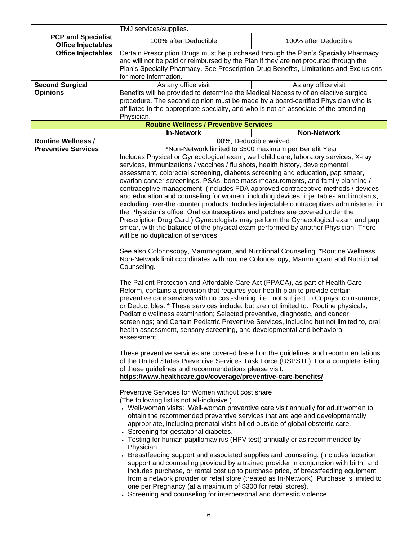|                                                        | TMJ services/supplies.                                                                                                                                                                                                                                                                                                                                                                                                                                                                                                                                                                                                                                                                                                                                                                                                                                                                                                                                                                                                                                                                                                                                                                                                                                                                                                                                                                                                                                                                                                                                                                                                                                                                                                                 |                       |
|--------------------------------------------------------|----------------------------------------------------------------------------------------------------------------------------------------------------------------------------------------------------------------------------------------------------------------------------------------------------------------------------------------------------------------------------------------------------------------------------------------------------------------------------------------------------------------------------------------------------------------------------------------------------------------------------------------------------------------------------------------------------------------------------------------------------------------------------------------------------------------------------------------------------------------------------------------------------------------------------------------------------------------------------------------------------------------------------------------------------------------------------------------------------------------------------------------------------------------------------------------------------------------------------------------------------------------------------------------------------------------------------------------------------------------------------------------------------------------------------------------------------------------------------------------------------------------------------------------------------------------------------------------------------------------------------------------------------------------------------------------------------------------------------------------|-----------------------|
| <b>PCP and Specialist</b><br><b>Office Injectables</b> | 100% after Deductible                                                                                                                                                                                                                                                                                                                                                                                                                                                                                                                                                                                                                                                                                                                                                                                                                                                                                                                                                                                                                                                                                                                                                                                                                                                                                                                                                                                                                                                                                                                                                                                                                                                                                                                  | 100% after Deductible |
| <b>Office Injectables</b>                              | Certain Prescription Drugs must be purchased through the Plan's Specialty Pharmacy<br>and will not be paid or reimbursed by the Plan if they are not procured through the<br>Plan's Specialty Pharmacy. See Prescription Drug Benefits, Limitations and Exclusions<br>for more information.                                                                                                                                                                                                                                                                                                                                                                                                                                                                                                                                                                                                                                                                                                                                                                                                                                                                                                                                                                                                                                                                                                                                                                                                                                                                                                                                                                                                                                            |                       |
| <b>Second Surgical</b>                                 | As any office visit                                                                                                                                                                                                                                                                                                                                                                                                                                                                                                                                                                                                                                                                                                                                                                                                                                                                                                                                                                                                                                                                                                                                                                                                                                                                                                                                                                                                                                                                                                                                                                                                                                                                                                                    | As any office visit   |
| <b>Opinions</b>                                        | Benefits will be provided to determine the Medical Necessity of an elective surgical<br>procedure. The second opinion must be made by a board-certified Physician who is<br>affiliated in the appropriate specialty, and who is not an associate of the attending<br>Physician.                                                                                                                                                                                                                                                                                                                                                                                                                                                                                                                                                                                                                                                                                                                                                                                                                                                                                                                                                                                                                                                                                                                                                                                                                                                                                                                                                                                                                                                        |                       |
|                                                        | <b>Routine Wellness / Preventive Services</b>                                                                                                                                                                                                                                                                                                                                                                                                                                                                                                                                                                                                                                                                                                                                                                                                                                                                                                                                                                                                                                                                                                                                                                                                                                                                                                                                                                                                                                                                                                                                                                                                                                                                                          |                       |
|                                                        | <b>In-Network</b>                                                                                                                                                                                                                                                                                                                                                                                                                                                                                                                                                                                                                                                                                                                                                                                                                                                                                                                                                                                                                                                                                                                                                                                                                                                                                                                                                                                                                                                                                                                                                                                                                                                                                                                      | <b>Non-Network</b>    |
| <b>Routine Wellness /</b>                              | 100%; Deductible waived                                                                                                                                                                                                                                                                                                                                                                                                                                                                                                                                                                                                                                                                                                                                                                                                                                                                                                                                                                                                                                                                                                                                                                                                                                                                                                                                                                                                                                                                                                                                                                                                                                                                                                                |                       |
| <b>Preventive Services</b>                             | *Non-Network limited to \$500 maximum per Benefit Year                                                                                                                                                                                                                                                                                                                                                                                                                                                                                                                                                                                                                                                                                                                                                                                                                                                                                                                                                                                                                                                                                                                                                                                                                                                                                                                                                                                                                                                                                                                                                                                                                                                                                 |                       |
|                                                        | Includes Physical or Gynecological exam, well child care, laboratory services, X-ray<br>services, immunizations / vaccines / flu shots, health history, developmental<br>assessment, colorectal screening, diabetes screening and education, pap smear,<br>ovarian cancer screenings, PSAs, bone mass measurements, and family planning /<br>contraceptive management. (Includes FDA approved contraceptive methods / devices<br>and education and counseling for women, including devices, injectables and implants,<br>excluding over-the counter products. Includes injectable contraceptives administered in<br>the Physician's office. Oral contraceptives and patches are covered under the<br>Prescription Drug Card.) Gynecologists may perform the Gynecological exam and pap<br>smear, with the balance of the physical exam performed by another Physician. There<br>will be no duplication of services.<br>See also Colonoscopy, Mammogram, and Nutritional Counseling. *Routine Wellness<br>Non-Network limit coordinates with routine Colonoscopy, Mammogram and Nutritional<br>Counseling.<br>The Patient Protection and Affordable Care Act (PPACA), as part of Health Care<br>Reform, contains a provision that requires your health plan to provide certain<br>preventive care services with no cost-sharing, i.e., not subject to Copays, coinsurance,<br>or Deductibles. * These services include, but are not limited to: Routine physicals;<br>Pediatric wellness examination; Selected preventive, diagnostic, and cancer<br>screenings; and Certain Pediatric Preventive Services, including but not limited to, oral<br>health assessment, sensory screening, and developmental and behavioral<br>assessment. |                       |
|                                                        | These preventive services are covered based on the guidelines and recommendations<br>of the United States Preventive Services Task Force (USPSTF). For a complete listing<br>of these guidelines and recommendations please visit:<br>https://www.healthcare.gov/coverage/preventive-care-benefits/                                                                                                                                                                                                                                                                                                                                                                                                                                                                                                                                                                                                                                                                                                                                                                                                                                                                                                                                                                                                                                                                                                                                                                                                                                                                                                                                                                                                                                    |                       |
|                                                        | Preventive Services for Women without cost share<br>(The following list is not all-inclusive.)<br>• Well-woman visits: Well-woman preventive care visit annually for adult women to<br>obtain the recommended preventive services that are age and developmentally<br>appropriate, including prenatal visits billed outside of global obstetric care.<br>• Screening for gestational diabetes.<br>• Testing for human papillomavirus (HPV test) annually or as recommended by<br>Physician.<br>• Breastfeeding support and associated supplies and counseling. (Includes lactation<br>support and counseling provided by a trained provider in conjunction with birth; and<br>includes purchase, or rental cost up to purchase price, of breastfeeding equipment<br>from a network provider or retail store (treated as In-Network). Purchase is limited to<br>one per Pregnancy (at a maximum of \$300 for retail stores).<br>• Screening and counseling for interpersonal and domestic violence                                                                                                                                                                                                                                                                                                                                                                                                                                                                                                                                                                                                                                                                                                                                      |                       |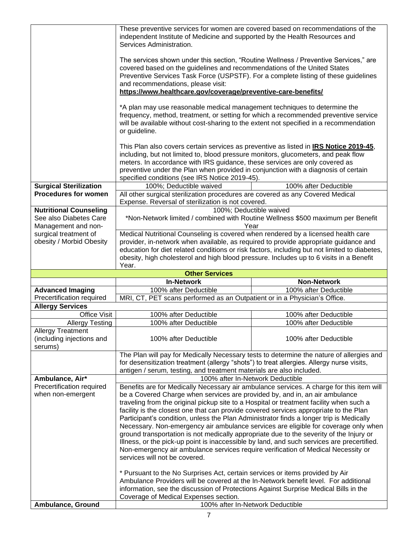|                                                                  | These preventive services for women are covered based on recommendations of the                                                                                                                                                                            |                                                                                 |  |
|------------------------------------------------------------------|------------------------------------------------------------------------------------------------------------------------------------------------------------------------------------------------------------------------------------------------------------|---------------------------------------------------------------------------------|--|
|                                                                  | independent Institute of Medicine and supported by the Health Resources and<br>Services Administration.                                                                                                                                                    |                                                                                 |  |
|                                                                  |                                                                                                                                                                                                                                                            |                                                                                 |  |
|                                                                  | The services shown under this section, "Routine Wellness / Preventive Services," are                                                                                                                                                                       |                                                                                 |  |
|                                                                  | covered based on the guidelines and recommendations of the United States<br>Preventive Services Task Force (USPSTF). For a complete listing of these guidelines                                                                                            |                                                                                 |  |
|                                                                  | and recommendations, please visit:                                                                                                                                                                                                                         |                                                                                 |  |
|                                                                  | https://www.healthcare.gov/coverage/preventive-care-benefits/                                                                                                                                                                                              |                                                                                 |  |
|                                                                  | *A plan may use reasonable medical management techniques to determine the<br>frequency, method, treatment, or setting for which a recommended preventive service<br>will be available without cost-sharing to the extent not specified in a recommendation |                                                                                 |  |
|                                                                  | or guideline.                                                                                                                                                                                                                                              |                                                                                 |  |
|                                                                  | This Plan also covers certain services as preventive as listed in IRS Notice 2019-45,<br>including, but not limited to, blood pressure monitors, glucometers, and peak flow<br>meters. In accordance with IRS guidance, these services are only covered as |                                                                                 |  |
|                                                                  | preventive under the Plan when provided in conjunction with a diagnosis of certain<br>specified conditions (see IRS Notice 2019-45).                                                                                                                       |                                                                                 |  |
| <b>Surgical Sterilization</b>                                    | 100%; Deductible waived                                                                                                                                                                                                                                    | 100% after Deductible                                                           |  |
| <b>Procedures for women</b>                                      | All other surgical sterilization procedures are covered as any Covered Medical                                                                                                                                                                             |                                                                                 |  |
|                                                                  | Expense. Reversal of sterilization is not covered.                                                                                                                                                                                                         |                                                                                 |  |
| <b>Nutritional Counseling</b><br>See also Diabetes Care          | 100%; Deductible waived                                                                                                                                                                                                                                    | *Non-Network limited / combined with Routine Wellness \$500 maximum per Benefit |  |
| Management and non-                                              | Year                                                                                                                                                                                                                                                       |                                                                                 |  |
| surgical treatment of                                            | Medical Nutritional Counseling is covered when rendered by a licensed health care                                                                                                                                                                          |                                                                                 |  |
| obesity / Morbid Obesity                                         | provider, in-network when available, as required to provide appropriate guidance and<br>education for diet related conditions or risk factors, including but not limited to diabetes,                                                                      |                                                                                 |  |
|                                                                  | obesity, high cholesterol and high blood pressure. Includes up to 6 visits in a Benefit                                                                                                                                                                    |                                                                                 |  |
|                                                                  | Year.                                                                                                                                                                                                                                                      |                                                                                 |  |
|                                                                  |                                                                                                                                                                                                                                                            |                                                                                 |  |
|                                                                  | <b>Other Services</b>                                                                                                                                                                                                                                      |                                                                                 |  |
|                                                                  | <b>In-Network</b>                                                                                                                                                                                                                                          | <b>Non-Network</b>                                                              |  |
| <b>Advanced Imaging</b><br>Precertification required             | 100% after Deductible                                                                                                                                                                                                                                      | 100% after Deductible                                                           |  |
| <b>Allergy Services</b>                                          | MRI, CT, PET scans performed as an Outpatient or in a Physician's Office.                                                                                                                                                                                  |                                                                                 |  |
| <b>Office Visit</b>                                              | 100% after Deductible                                                                                                                                                                                                                                      | 100% after Deductible                                                           |  |
| <b>Allergy Testing</b>                                           | 100% after Deductible                                                                                                                                                                                                                                      | 100% after Deductible                                                           |  |
| <b>Allergy Treatment</b><br>(including injections and<br>serums) | 100% after Deductible                                                                                                                                                                                                                                      | 100% after Deductible                                                           |  |
|                                                                  | The Plan will pay for Medically Necessary tests to determine the nature of allergies and                                                                                                                                                                   |                                                                                 |  |
|                                                                  | for desensitization treatment (allergy "shots") to treat allergies. Allergy nurse visits,                                                                                                                                                                  |                                                                                 |  |
|                                                                  | antigen / serum, testing, and treatment materials are also included.                                                                                                                                                                                       |                                                                                 |  |
| Ambulance, Air*                                                  | 100% after In-Network Deductible                                                                                                                                                                                                                           |                                                                                 |  |
| Precertification required                                        | Benefits are for Medically Necessary air ambulance services. A charge for this item will                                                                                                                                                                   |                                                                                 |  |
| when non-emergent                                                | be a Covered Charge when services are provided by, and in, an air ambulance                                                                                                                                                                                |                                                                                 |  |
|                                                                  | traveling from the original pickup site to a Hospital or treatment facility when such a                                                                                                                                                                    |                                                                                 |  |
|                                                                  | facility is the closest one that can provide covered services appropriate to the Plan<br>Participant's condition, unless the Plan Administrator finds a longer trip is Medically                                                                           |                                                                                 |  |
|                                                                  | Necessary. Non-emergency air ambulance services are eligible for coverage only when                                                                                                                                                                        |                                                                                 |  |
|                                                                  | ground transportation is not medically appropriate due to the severity of the Injury or                                                                                                                                                                    |                                                                                 |  |
|                                                                  | Illness, or the pick-up point is inaccessible by land, and such services are precertified.                                                                                                                                                                 |                                                                                 |  |
|                                                                  | Non-emergency air ambulance services require verification of Medical Necessity or<br>services will not be covered.                                                                                                                                         |                                                                                 |  |
|                                                                  |                                                                                                                                                                                                                                                            |                                                                                 |  |
|                                                                  | * Pursuant to the No Surprises Act, certain services or items provided by Air                                                                                                                                                                              |                                                                                 |  |
|                                                                  | Ambulance Providers will be covered at the In-Network benefit level. For additional                                                                                                                                                                        |                                                                                 |  |
|                                                                  | information, see the discussion of Protections Against Surprise Medical Bills in the<br>Coverage of Medical Expenses section.                                                                                                                              |                                                                                 |  |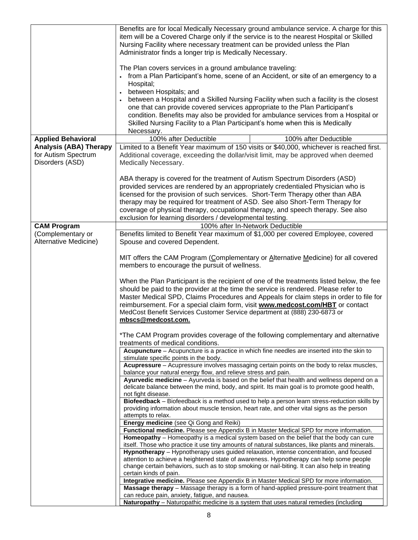|                                                                         | Benefits are for local Medically Necessary ground ambulance service. A charge for this<br>item will be a Covered Charge only if the service is to the nearest Hospital or Skilled<br>Nursing Facility where necessary treatment can be provided unless the Plan<br>Administrator finds a longer trip is Medically Necessary.<br>The Plan covers services in a ground ambulance traveling:<br>• from a Plan Participant's home, scene of an Accident, or site of an emergency to a<br>Hospital;<br>between Hospitals; and<br>between a Hospital and a Skilled Nursing Facility when such a facility is the closest<br>one that can provide covered services appropriate to the Plan Participant's<br>condition. Benefits may also be provided for ambulance services from a Hospital or<br>Skilled Nursing Facility to a Plan Participant's home when this is Medically<br>Necessary. |                       |
|-------------------------------------------------------------------------|--------------------------------------------------------------------------------------------------------------------------------------------------------------------------------------------------------------------------------------------------------------------------------------------------------------------------------------------------------------------------------------------------------------------------------------------------------------------------------------------------------------------------------------------------------------------------------------------------------------------------------------------------------------------------------------------------------------------------------------------------------------------------------------------------------------------------------------------------------------------------------------|-----------------------|
| <b>Applied Behavioral</b>                                               | 100% after Deductible                                                                                                                                                                                                                                                                                                                                                                                                                                                                                                                                                                                                                                                                                                                                                                                                                                                                | 100% after Deductible |
| <b>Analysis (ABA) Therapy</b><br>for Autism Spectrum<br>Disorders (ASD) | Limited to a Benefit Year maximum of 150 visits or \$40,000, whichever is reached first.<br>Additional coverage, exceeding the dollar/visit limit, may be approved when deemed<br>Medically Necessary.                                                                                                                                                                                                                                                                                                                                                                                                                                                                                                                                                                                                                                                                               |                       |
|                                                                         | ABA therapy is covered for the treatment of Autism Spectrum Disorders (ASD)<br>provided services are rendered by an appropriately credentialed Physician who is<br>licensed for the provision of such services. Short-Term Therapy other than ABA<br>therapy may be required for treatment of ASD. See also Short-Term Therapy for<br>coverage of physical therapy, occupational therapy, and speech therapy. See also                                                                                                                                                                                                                                                                                                                                                                                                                                                               |                       |
|                                                                         | exclusion for learning disorders / developmental testing.                                                                                                                                                                                                                                                                                                                                                                                                                                                                                                                                                                                                                                                                                                                                                                                                                            |                       |
| <b>CAM Program</b>                                                      | 100% after In-Network Deductible                                                                                                                                                                                                                                                                                                                                                                                                                                                                                                                                                                                                                                                                                                                                                                                                                                                     |                       |
| (Complementary or<br>Alternative Medicine)                              | Benefits limited to Benefit Year maximum of \$1,000 per covered Employee, covered<br>Spouse and covered Dependent.                                                                                                                                                                                                                                                                                                                                                                                                                                                                                                                                                                                                                                                                                                                                                                   |                       |
|                                                                         | MIT offers the CAM Program (Complementary or Alternative Medicine) for all covered<br>members to encourage the pursuit of wellness.                                                                                                                                                                                                                                                                                                                                                                                                                                                                                                                                                                                                                                                                                                                                                  |                       |
|                                                                         | When the Plan Participant is the recipient of one of the treatments listed below, the fee<br>should be paid to the provider at the time the service is rendered. Please refer to<br>Master Medical SPD, Claims Procedures and Appeals for claim steps in order to file for<br>reimbursement. For a special claim form, visit www.medcost.com/HBT or contact<br>MedCost Benefit Services Customer Service department at (888) 230-6873 or<br>mbscs@medcost.com.                                                                                                                                                                                                                                                                                                                                                                                                                       |                       |
|                                                                         | *The CAM Program provides coverage of the following complementary and alternative<br>treatments of medical conditions.                                                                                                                                                                                                                                                                                                                                                                                                                                                                                                                                                                                                                                                                                                                                                               |                       |
|                                                                         | Acupuncture - Acupuncture is a practice in which fine needles are inserted into the skin to<br>stimulate specific points in the body.                                                                                                                                                                                                                                                                                                                                                                                                                                                                                                                                                                                                                                                                                                                                                |                       |
|                                                                         | Acupressure - Acupressure involves massaging certain points on the body to relax muscles,                                                                                                                                                                                                                                                                                                                                                                                                                                                                                                                                                                                                                                                                                                                                                                                            |                       |
|                                                                         | balance your natural energy flow, and relieve stress and pain.<br>Ayurvedic medicine - Ayurveda is based on the belief that health and wellness depend on a<br>delicate balance between the mind, body, and spirit. Its main goal is to promote good health,<br>not fight disease.                                                                                                                                                                                                                                                                                                                                                                                                                                                                                                                                                                                                   |                       |
|                                                                         | Biofeedback - Biofeedback is a method used to help a person learn stress-reduction skills by<br>providing information about muscle tension, heart rate, and other vital signs as the person<br>attempts to relax.                                                                                                                                                                                                                                                                                                                                                                                                                                                                                                                                                                                                                                                                    |                       |
|                                                                         | Energy medicine (see Qi Gong and Reiki)                                                                                                                                                                                                                                                                                                                                                                                                                                                                                                                                                                                                                                                                                                                                                                                                                                              |                       |
|                                                                         | Functional medicine. Please see Appendix B in Master Medical SPD for more information.<br>Homeopathy - Homeopathy is a medical system based on the belief that the body can cure                                                                                                                                                                                                                                                                                                                                                                                                                                                                                                                                                                                                                                                                                                     |                       |
|                                                                         | itself. Those who practice it use tiny amounts of natural substances, like plants and minerals.<br>Hypnotherapy - Hypnotherapy uses guided relaxation, intense concentration, and focused                                                                                                                                                                                                                                                                                                                                                                                                                                                                                                                                                                                                                                                                                            |                       |
|                                                                         | attention to achieve a heightened state of awareness. Hypnotherapy can help some people<br>change certain behaviors, such as to stop smoking or nail-biting. It can also help in treating                                                                                                                                                                                                                                                                                                                                                                                                                                                                                                                                                                                                                                                                                            |                       |
|                                                                         | certain kinds of pain.<br>Integrative medicine. Please see Appendix B in Master Medical SPD for more information.                                                                                                                                                                                                                                                                                                                                                                                                                                                                                                                                                                                                                                                                                                                                                                    |                       |
|                                                                         | Massage therapy - Massage therapy is a form of hand-applied pressure-point treatment that                                                                                                                                                                                                                                                                                                                                                                                                                                                                                                                                                                                                                                                                                                                                                                                            |                       |
|                                                                         | can reduce pain, anxiety, fatigue, and nausea.                                                                                                                                                                                                                                                                                                                                                                                                                                                                                                                                                                                                                                                                                                                                                                                                                                       |                       |
|                                                                         | Naturopathy - Naturopathic medicine is a system that uses natural remedies (including                                                                                                                                                                                                                                                                                                                                                                                                                                                                                                                                                                                                                                                                                                                                                                                                |                       |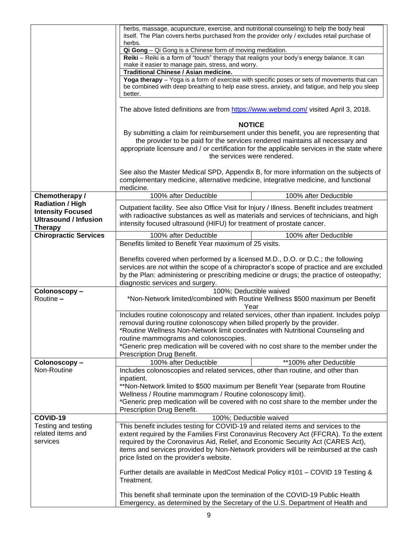|                              | herbs, massage, acupuncture, exercise, and nutritional counseling) to help the body heal<br>itself. The Plan covers herbs purchased from the provider only / excludes retail purchase of                                                                                                                              |  |  |
|------------------------------|-----------------------------------------------------------------------------------------------------------------------------------------------------------------------------------------------------------------------------------------------------------------------------------------------------------------------|--|--|
|                              | herbs.                                                                                                                                                                                                                                                                                                                |  |  |
|                              | Qi Gong - Qi Gong is a Chinese form of moving meditation.                                                                                                                                                                                                                                                             |  |  |
|                              | Reiki - Reiki is a form of "touch" therapy that realigns your body's energy balance. It can                                                                                                                                                                                                                           |  |  |
|                              | make it easier to manage pain, stress, and worry.<br>Traditional Chinese / Asian medicine.                                                                                                                                                                                                                            |  |  |
|                              | Yoga therapy - Yoga is a form of exercise with specific poses or sets of movements that can                                                                                                                                                                                                                           |  |  |
|                              | be combined with deep breathing to help ease stress, anxiety, and fatigue, and help you sleep<br>better.                                                                                                                                                                                                              |  |  |
|                              | The above listed definitions are from https://www.webmd.com/visited April 3, 2018.                                                                                                                                                                                                                                    |  |  |
|                              | <b>NOTICE</b><br>By submitting a claim for reimbursement under this benefit, you are representing that<br>the provider to be paid for the services rendered maintains all necessary and<br>appropriate licensure and / or certification for the applicable services in the state where<br>the services were rendered. |  |  |
|                              | See also the Master Medical SPD, Appendix B, for more information on the subjects of<br>complementary medicine, alternative medicine, integrative medicine, and functional<br>medicine.                                                                                                                               |  |  |
| Chemotherapy /               | 100% after Deductible<br>100% after Deductible                                                                                                                                                                                                                                                                        |  |  |
| <b>Radiation / High</b>      | Outpatient facility. See also Office Visit for Injury / Illness. Benefit includes treatment                                                                                                                                                                                                                           |  |  |
| <b>Intensity Focused</b>     | with radioactive substances as well as materials and services of technicians, and high                                                                                                                                                                                                                                |  |  |
| <b>Ultrasound / Infusion</b> | intensity focused ultrasound (HIFU) for treatment of prostate cancer.                                                                                                                                                                                                                                                 |  |  |
| <b>Therapy</b>               |                                                                                                                                                                                                                                                                                                                       |  |  |
| <b>Chiropractic Services</b> | 100% after Deductible<br>100% after Deductible<br>Benefits limited to Benefit Year maximum of 25 visits.                                                                                                                                                                                                              |  |  |
|                              |                                                                                                                                                                                                                                                                                                                       |  |  |
|                              | Benefits covered when performed by a licensed M.D., D.O. or D.C.; the following                                                                                                                                                                                                                                       |  |  |
|                              |                                                                                                                                                                                                                                                                                                                       |  |  |
|                              | services are not within the scope of a chiropractor's scope of practice and are excluded<br>by the Plan: administering or prescribing medicine or drugs; the practice of osteopathy;                                                                                                                                  |  |  |
|                              | diagnostic services and surgery.                                                                                                                                                                                                                                                                                      |  |  |
| Colonoscopy-                 | 100%; Deductible waived                                                                                                                                                                                                                                                                                               |  |  |
| Routine -                    | *Non-Network limited/combined with Routine Wellness \$500 maximum per Benefit<br>Year                                                                                                                                                                                                                                 |  |  |
|                              | Includes routine colonoscopy and related services, other than inpatient. Includes polyp                                                                                                                                                                                                                               |  |  |
|                              | removal during routine colonoscopy when billed properly by the provider.                                                                                                                                                                                                                                              |  |  |
|                              | *Routine Wellness Non-Network limit coordinates with Nutritional Counseling and                                                                                                                                                                                                                                       |  |  |
|                              | routine mammograms and colonoscopies.                                                                                                                                                                                                                                                                                 |  |  |
|                              | *Generic prep medication will be covered with no cost share to the member under the                                                                                                                                                                                                                                   |  |  |
|                              | Prescription Drug Benefit.                                                                                                                                                                                                                                                                                            |  |  |
| Colonoscopy-                 | 100% after Deductible<br>**100% after Deductible                                                                                                                                                                                                                                                                      |  |  |
| Non-Routine                  | Includes colonoscopies and related services, other than routine, and other than                                                                                                                                                                                                                                       |  |  |
|                              | inpatient.                                                                                                                                                                                                                                                                                                            |  |  |
|                              | **Non-Network limited to \$500 maximum per Benefit Year (separate from Routine                                                                                                                                                                                                                                        |  |  |
|                              | Wellness / Routine mammogram / Routine colonoscopy limit).<br>*Generic prep medication will be covered with no cost share to the member under the                                                                                                                                                                     |  |  |
|                              | Prescription Drug Benefit.                                                                                                                                                                                                                                                                                            |  |  |
| COVID-19                     | 100%; Deductible waived                                                                                                                                                                                                                                                                                               |  |  |
| Testing and testing          | This benefit includes testing for COVID-19 and related items and services to the                                                                                                                                                                                                                                      |  |  |
| related items and            | extent required by the Families First Coronavirus Recovery Act (FFCRA). To the extent                                                                                                                                                                                                                                 |  |  |
| services                     | required by the Coronavirus Aid, Relief, and Economic Security Act (CARES Act),                                                                                                                                                                                                                                       |  |  |
|                              | items and services provided by Non-Network providers will be reimbursed at the cash                                                                                                                                                                                                                                   |  |  |
|                              | price listed on the provider's website.                                                                                                                                                                                                                                                                               |  |  |
|                              |                                                                                                                                                                                                                                                                                                                       |  |  |
|                              | Further details are available in MedCost Medical Policy #101 - COVID 19 Testing &                                                                                                                                                                                                                                     |  |  |
|                              | Treatment.                                                                                                                                                                                                                                                                                                            |  |  |
|                              |                                                                                                                                                                                                                                                                                                                       |  |  |
|                              | This benefit shall terminate upon the termination of the COVID-19 Public Health<br>Emergency, as determined by the Secretary of the U.S. Department of Health and                                                                                                                                                     |  |  |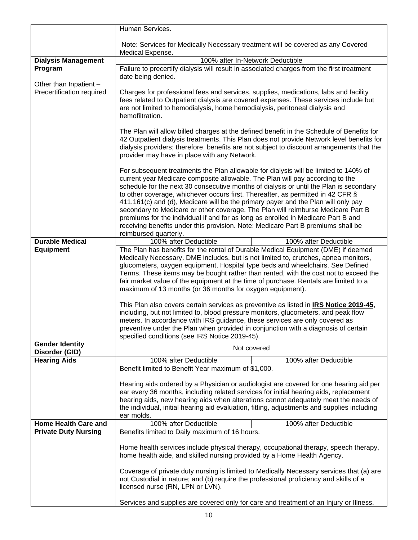|                                                     | Human Services.                                                                                                                                                                                                                                                                                                                                                                                                                                                                                                                                                                                                                                                                                                                                                       |  |
|-----------------------------------------------------|-----------------------------------------------------------------------------------------------------------------------------------------------------------------------------------------------------------------------------------------------------------------------------------------------------------------------------------------------------------------------------------------------------------------------------------------------------------------------------------------------------------------------------------------------------------------------------------------------------------------------------------------------------------------------------------------------------------------------------------------------------------------------|--|
|                                                     | Note: Services for Medically Necessary treatment will be covered as any Covered                                                                                                                                                                                                                                                                                                                                                                                                                                                                                                                                                                                                                                                                                       |  |
|                                                     | Medical Expense.                                                                                                                                                                                                                                                                                                                                                                                                                                                                                                                                                                                                                                                                                                                                                      |  |
| <b>Dialysis Management</b>                          | 100% after In-Network Deductible                                                                                                                                                                                                                                                                                                                                                                                                                                                                                                                                                                                                                                                                                                                                      |  |
| Program                                             | Failure to precertify dialysis will result in associated charges from the first treatment<br>date being denied.                                                                                                                                                                                                                                                                                                                                                                                                                                                                                                                                                                                                                                                       |  |
| Other than Inpatient -<br>Precertification required | Charges for professional fees and services, supplies, medications, labs and facility<br>fees related to Outpatient dialysis are covered expenses. These services include but<br>are not limited to hemodialysis, home hemodialysis, peritoneal dialysis and<br>hemofiltration.                                                                                                                                                                                                                                                                                                                                                                                                                                                                                        |  |
|                                                     | The Plan will allow billed charges at the defined benefit in the Schedule of Benefits for<br>42 Outpatient dialysis treatments. This Plan does not provide Network level benefits for<br>dialysis providers; therefore, benefits are not subject to discount arrangements that the<br>provider may have in place with any Network.                                                                                                                                                                                                                                                                                                                                                                                                                                    |  |
|                                                     | For subsequent treatments the Plan allowable for dialysis will be limited to 140% of<br>current year Medicare composite allowable. The Plan will pay according to the<br>schedule for the next 30 consecutive months of dialysis or until the Plan is secondary<br>to other coverage, whichever occurs first. Thereafter, as permitted in 42 CFR §<br>411.161(c) and (d), Medicare will be the primary payer and the Plan will only pay<br>secondary to Medicare or other coverage. The Plan will reimburse Medicare Part B<br>premiums for the individual if and for as long as enrolled in Medicare Part B and<br>receiving benefits under this provision. Note: Medicare Part B premiums shall be<br>reimbursed quarterly.                                         |  |
| <b>Durable Medical</b>                              | 100% after Deductible<br>100% after Deductible                                                                                                                                                                                                                                                                                                                                                                                                                                                                                                                                                                                                                                                                                                                        |  |
| <b>Equipment</b>                                    | The Plan has benefits for the rental of Durable Medical Equipment (DME) if deemed<br>Medically Necessary. DME includes, but is not limited to, crutches, apnea monitors,<br>glucometers, oxygen equipment, Hospital type beds and wheelchairs. See Defined<br>Terms. These items may be bought rather than rented, with the cost not to exceed the<br>fair market value of the equipment at the time of purchase. Rentals are limited to a<br>maximum of 13 months (or 36 months for oxygen equipment).<br>This Plan also covers certain services as preventive as listed in IRS Notice 2019-45,<br>including, but not limited to, blood pressure monitors, glucometers, and peak flow<br>meters. In accordance with IRS guidance, these services are only covered as |  |
|                                                     | preventive under the Plan when provided in conjunction with a diagnosis of certain                                                                                                                                                                                                                                                                                                                                                                                                                                                                                                                                                                                                                                                                                    |  |
| <b>Gender Identity</b><br>Disorder (GID)            | specified conditions (see IRS Notice 2019-45).<br>Not covered                                                                                                                                                                                                                                                                                                                                                                                                                                                                                                                                                                                                                                                                                                         |  |
| <b>Hearing Aids</b>                                 | 100% after Deductible<br>100% after Deductible                                                                                                                                                                                                                                                                                                                                                                                                                                                                                                                                                                                                                                                                                                                        |  |
|                                                     | Benefit limited to Benefit Year maximum of \$1,000.                                                                                                                                                                                                                                                                                                                                                                                                                                                                                                                                                                                                                                                                                                                   |  |
|                                                     | Hearing aids ordered by a Physician or audiologist are covered for one hearing aid per<br>ear every 36 months, including related services for initial hearing aids, replacement<br>hearing aids, new hearing aids when alterations cannot adequately meet the needs of<br>the individual, initial hearing aid evaluation, fitting, adjustments and supplies including<br>ear molds.                                                                                                                                                                                                                                                                                                                                                                                   |  |
| <b>Home Health Care and</b>                         | 100% after Deductible<br>100% after Deductible                                                                                                                                                                                                                                                                                                                                                                                                                                                                                                                                                                                                                                                                                                                        |  |
| <b>Private Duty Nursing</b>                         | Benefits limited to Daily maximum of 16 hours.                                                                                                                                                                                                                                                                                                                                                                                                                                                                                                                                                                                                                                                                                                                        |  |
|                                                     | Home health services include physical therapy, occupational therapy, speech therapy,<br>home health aide, and skilled nursing provided by a Home Health Agency.                                                                                                                                                                                                                                                                                                                                                                                                                                                                                                                                                                                                       |  |
|                                                     | Coverage of private duty nursing is limited to Medically Necessary services that (a) are<br>not Custodial in nature; and (b) require the professional proficiency and skills of a<br>licensed nurse (RN, LPN or LVN).                                                                                                                                                                                                                                                                                                                                                                                                                                                                                                                                                 |  |
|                                                     | Services and supplies are covered only for care and treatment of an Injury or Illness.                                                                                                                                                                                                                                                                                                                                                                                                                                                                                                                                                                                                                                                                                |  |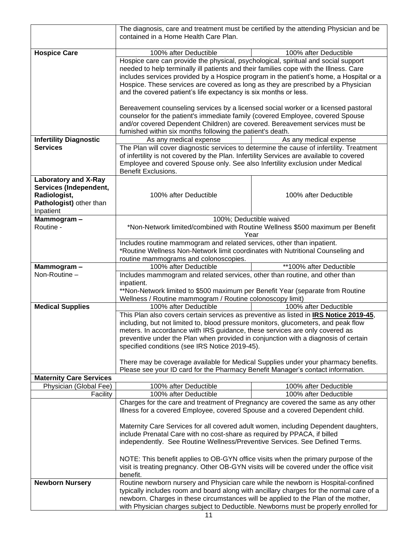|                                | The diagnosis, care and treatment must be certified by the attending Physician and be<br>contained in a Home Health Care Plan.                                              |                                                                               |  |
|--------------------------------|-----------------------------------------------------------------------------------------------------------------------------------------------------------------------------|-------------------------------------------------------------------------------|--|
| <b>Hospice Care</b>            | 100% after Deductible                                                                                                                                                       | 100% after Deductible                                                         |  |
|                                |                                                                                                                                                                             |                                                                               |  |
|                                | Hospice care can provide the physical, psychological, spiritual and social support<br>needed to help terminally ill patients and their families cope with the Illness. Care |                                                                               |  |
|                                | includes services provided by a Hospice program in the patient's home, a Hospital or a                                                                                      |                                                                               |  |
|                                |                                                                                                                                                                             |                                                                               |  |
|                                | Hospice. These services are covered as long as they are prescribed by a Physician                                                                                           |                                                                               |  |
|                                | and the covered patient's life expectancy is six months or less.                                                                                                            |                                                                               |  |
|                                |                                                                                                                                                                             |                                                                               |  |
|                                | Bereavement counseling services by a licensed social worker or a licensed pastoral<br>counselor for the patient's immediate family (covered Employee, covered Spouse        |                                                                               |  |
|                                | and/or covered Dependent Children) are covered. Bereavement services must be                                                                                                |                                                                               |  |
|                                | furnished within six months following the patient's death.                                                                                                                  |                                                                               |  |
| <b>Infertility Diagnostic</b>  | As any medical expense                                                                                                                                                      | As any medical expense                                                        |  |
| <b>Services</b>                |                                                                                                                                                                             |                                                                               |  |
|                                | The Plan will cover diagnostic services to determine the cause of infertility. Treatment                                                                                    |                                                                               |  |
|                                | of infertility is not covered by the Plan. Infertility Services are available to covered                                                                                    |                                                                               |  |
|                                | Employee and covered Spouse only. See also Infertility exclusion under Medical                                                                                              |                                                                               |  |
|                                | <b>Benefit Exclusions.</b>                                                                                                                                                  |                                                                               |  |
| <b>Laboratory and X-Ray</b>    |                                                                                                                                                                             |                                                                               |  |
| Services (Independent,         |                                                                                                                                                                             |                                                                               |  |
| Radiologist,                   | 100% after Deductible                                                                                                                                                       | 100% after Deductible                                                         |  |
| Pathologist) other than        |                                                                                                                                                                             |                                                                               |  |
| Inpatient                      |                                                                                                                                                                             |                                                                               |  |
| Mammogram-                     |                                                                                                                                                                             | 100%; Deductible waived                                                       |  |
| Routine -                      |                                                                                                                                                                             | *Non-Network limited/combined with Routine Wellness \$500 maximum per Benefit |  |
|                                |                                                                                                                                                                             | Year                                                                          |  |
|                                | Includes routine mammogram and related services, other than inpatient.                                                                                                      |                                                                               |  |
|                                | *Routine Wellness Non-Network limit coordinates with Nutritional Counseling and                                                                                             |                                                                               |  |
|                                | routine mammograms and colonoscopies.                                                                                                                                       |                                                                               |  |
| Mammogram-<br>Non-Routine -    | 100% after Deductible                                                                                                                                                       | **100% after Deductible                                                       |  |
|                                | Includes mammogram and related services, other than routine, and other than                                                                                                 |                                                                               |  |
|                                | inpatient.<br>**Non-Network limited to \$500 maximum per Benefit Year (separate from Routine                                                                                |                                                                               |  |
|                                | Wellness / Routine mammogram / Routine colonoscopy limit)                                                                                                                   |                                                                               |  |
| <b>Medical Supplies</b>        | 100% after Deductible                                                                                                                                                       | 100% after Deductible                                                         |  |
|                                | This Plan also covers certain services as preventive as listed in IRS Notice 2019-45,                                                                                       |                                                                               |  |
|                                | including, but not limited to, blood pressure monitors, glucometers, and peak flow                                                                                          |                                                                               |  |
|                                | meters. In accordance with IRS guidance, these services are only covered as                                                                                                 |                                                                               |  |
|                                | preventive under the Plan when provided in conjunction with a diagnosis of certain                                                                                          |                                                                               |  |
|                                | specified conditions (see IRS Notice 2019-45).                                                                                                                              |                                                                               |  |
|                                |                                                                                                                                                                             |                                                                               |  |
|                                | There may be coverage available for Medical Supplies under your pharmacy benefits.                                                                                          |                                                                               |  |
|                                | Please see your ID card for the Pharmacy Benefit Manager's contact information.                                                                                             |                                                                               |  |
| <b>Maternity Care Services</b> |                                                                                                                                                                             |                                                                               |  |
| Physician (Global Fee)         | 100% after Deductible                                                                                                                                                       | 100% after Deductible                                                         |  |
| Facility                       | 100% after Deductible                                                                                                                                                       | 100% after Deductible                                                         |  |
|                                | Charges for the care and treatment of Pregnancy are covered the same as any other                                                                                           |                                                                               |  |
|                                | Illness for a covered Employee, covered Spouse and a covered Dependent child.                                                                                               |                                                                               |  |
|                                |                                                                                                                                                                             |                                                                               |  |
|                                | Maternity Care Services for all covered adult women, including Dependent daughters,                                                                                         |                                                                               |  |
|                                | include Prenatal Care with no cost-share as required by PPACA, if billed                                                                                                    |                                                                               |  |
|                                | independently. See Routine Wellness/Preventive Services. See Defined Terms.                                                                                                 |                                                                               |  |
|                                |                                                                                                                                                                             |                                                                               |  |
|                                | NOTE: This benefit applies to OB-GYN office visits when the primary purpose of the                                                                                          |                                                                               |  |
|                                | visit is treating pregnancy. Other OB-GYN visits will be covered under the office visit                                                                                     |                                                                               |  |
|                                | benefit.                                                                                                                                                                    |                                                                               |  |
| <b>Newborn Nursery</b>         | Routine newborn nursery and Physician care while the newborn is Hospital-confined                                                                                           |                                                                               |  |
|                                | typically includes room and board along with ancillary charges for the normal care of a                                                                                     |                                                                               |  |
|                                | newborn. Charges in these circumstances will be applied to the Plan of the mother,                                                                                          |                                                                               |  |
|                                | with Physician charges subject to Deductible. Newborns must be properly enrolled for                                                                                        |                                                                               |  |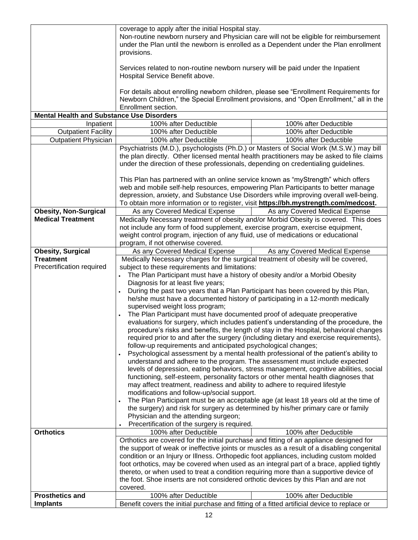| <b>Mental Health and Substance Use Disorders</b> | coverage to apply after the initial Hospital stay.<br>Non-routine newborn nursery and Physician care will not be eligible for reimbursement<br>under the Plan until the newborn is enrolled as a Dependent under the Plan enrollment<br>provisions.<br>Services related to non-routine newborn nursery will be paid under the Inpatient<br>Hospital Service Benefit above.<br>For details about enrolling newborn children, please see "Enrollment Requirements for<br>Newborn Children," the Special Enrollment provisions, and "Open Enrollment," all in the<br>Enrollment section.                                                                                                                                                                                                                                                                                                                                                                                                                                                                                                                                                                                                                                                                                                                                                                                                                                                                                                                                                                            |                                |
|--------------------------------------------------|------------------------------------------------------------------------------------------------------------------------------------------------------------------------------------------------------------------------------------------------------------------------------------------------------------------------------------------------------------------------------------------------------------------------------------------------------------------------------------------------------------------------------------------------------------------------------------------------------------------------------------------------------------------------------------------------------------------------------------------------------------------------------------------------------------------------------------------------------------------------------------------------------------------------------------------------------------------------------------------------------------------------------------------------------------------------------------------------------------------------------------------------------------------------------------------------------------------------------------------------------------------------------------------------------------------------------------------------------------------------------------------------------------------------------------------------------------------------------------------------------------------------------------------------------------------|--------------------------------|
| Inpatient                                        | 100% after Deductible                                                                                                                                                                                                                                                                                                                                                                                                                                                                                                                                                                                                                                                                                                                                                                                                                                                                                                                                                                                                                                                                                                                                                                                                                                                                                                                                                                                                                                                                                                                                            | 100% after Deductible          |
| <b>Outpatient Facility</b>                       | 100% after Deductible                                                                                                                                                                                                                                                                                                                                                                                                                                                                                                                                                                                                                                                                                                                                                                                                                                                                                                                                                                                                                                                                                                                                                                                                                                                                                                                                                                                                                                                                                                                                            | 100% after Deductible          |
|                                                  | 100% after Deductible                                                                                                                                                                                                                                                                                                                                                                                                                                                                                                                                                                                                                                                                                                                                                                                                                                                                                                                                                                                                                                                                                                                                                                                                                                                                                                                                                                                                                                                                                                                                            | 100% after Deductible          |
| <b>Outpatient Physician</b>                      |                                                                                                                                                                                                                                                                                                                                                                                                                                                                                                                                                                                                                                                                                                                                                                                                                                                                                                                                                                                                                                                                                                                                                                                                                                                                                                                                                                                                                                                                                                                                                                  |                                |
|                                                  | Psychiatrists (M.D.), psychologists (Ph.D.) or Masters of Social Work (M.S.W.) may bill<br>the plan directly. Other licensed mental health practitioners may be asked to file claims<br>under the direction of these professionals, depending on credentialing guidelines.<br>This Plan has partnered with an online service known as "myStrength" which offers<br>web and mobile self-help resources, empowering Plan Participants to better manage<br>depression, anxiety, and Substance Use Disorders while improving overall well-being.<br>To obtain more information or to register, visit https://bh.mystrength.com/medcost.                                                                                                                                                                                                                                                                                                                                                                                                                                                                                                                                                                                                                                                                                                                                                                                                                                                                                                                              |                                |
| <b>Obesity, Non-Surgical</b>                     |                                                                                                                                                                                                                                                                                                                                                                                                                                                                                                                                                                                                                                                                                                                                                                                                                                                                                                                                                                                                                                                                                                                                                                                                                                                                                                                                                                                                                                                                                                                                                                  |                                |
| <b>Medical Treatment</b>                         | As any Covered Medical Expense<br>As any Covered Medical Expense<br>Medically Necessary treatment of obesity and/or Morbid Obesity is covered. This does<br>not include any form of food supplement, exercise program, exercise equipment,<br>weight control program, injection of any fluid, use of medications or educational<br>program, if not otherwise covered.                                                                                                                                                                                                                                                                                                                                                                                                                                                                                                                                                                                                                                                                                                                                                                                                                                                                                                                                                                                                                                                                                                                                                                                            |                                |
| <b>Obesity, Surgical</b>                         | As any Covered Medical Expense                                                                                                                                                                                                                                                                                                                                                                                                                                                                                                                                                                                                                                                                                                                                                                                                                                                                                                                                                                                                                                                                                                                                                                                                                                                                                                                                                                                                                                                                                                                                   | As any Covered Medical Expense |
| <b>Treatment</b>                                 | Medically Necessary charges for the surgical treatment of obesity will be covered,                                                                                                                                                                                                                                                                                                                                                                                                                                                                                                                                                                                                                                                                                                                                                                                                                                                                                                                                                                                                                                                                                                                                                                                                                                                                                                                                                                                                                                                                               |                                |
| Precertification required                        | subject to these requirements and limitations:<br>The Plan Participant must have a history of obesity and/or a Morbid Obesity<br>Diagnosis for at least five years;<br>During the past two years that a Plan Participant has been covered by this Plan,<br>he/she must have a documented history of participating in a 12-month medically<br>supervised weight loss program;<br>The Plan Participant must have documented proof of adequate preoperative<br>evaluations for surgery, which includes patient's understanding of the procedure, the<br>procedure's risks and benefits, the length of stay in the Hospital, behavioral changes<br>required prior to and after the surgery (including dietary and exercise requirements),<br>follow-up requirements and anticipated psychological changes;<br>Psychological assessment by a mental health professional of the patient's ability to<br>understand and adhere to the program. The assessment must include expected<br>levels of depression, eating behaviors, stress management, cognitive abilities, social<br>functioning, self-esteem, personality factors or other mental health diagnoses that<br>may affect treatment, readiness and ability to adhere to required lifestyle<br>modifications and follow-up/social support.<br>The Plan Participant must be an acceptable age (at least 18 years old at the time of<br>the surgery) and risk for surgery as determined by his/her primary care or family<br>Physician and the attending surgeon;<br>Precertification of the surgery is required. |                                |
| <b>Orthotics</b>                                 | 100% after Deductible                                                                                                                                                                                                                                                                                                                                                                                                                                                                                                                                                                                                                                                                                                                                                                                                                                                                                                                                                                                                                                                                                                                                                                                                                                                                                                                                                                                                                                                                                                                                            | 100% after Deductible          |
| <b>Prosthetics and</b>                           | Orthotics are covered for the initial purchase and fitting of an appliance designed for<br>the support of weak or ineffective joints or muscles as a result of a disabling congenital<br>condition or an Injury or Illness. Orthopedic foot appliances, including custom molded<br>foot orthotics, may be covered when used as an integral part of a brace, applied tightly<br>thereto, or when used to treat a condition requiring more than a supportive device of<br>the foot. Shoe inserts are not considered orthotic devices by this Plan and are not<br>covered.<br>100% after Deductible<br>100% after Deductible                                                                                                                                                                                                                                                                                                                                                                                                                                                                                                                                                                                                                                                                                                                                                                                                                                                                                                                                        |                                |
| <b>Implants</b>                                  | Benefit covers the initial purchase and fitting of a fitted artificial device to replace or                                                                                                                                                                                                                                                                                                                                                                                                                                                                                                                                                                                                                                                                                                                                                                                                                                                                                                                                                                                                                                                                                                                                                                                                                                                                                                                                                                                                                                                                      |                                |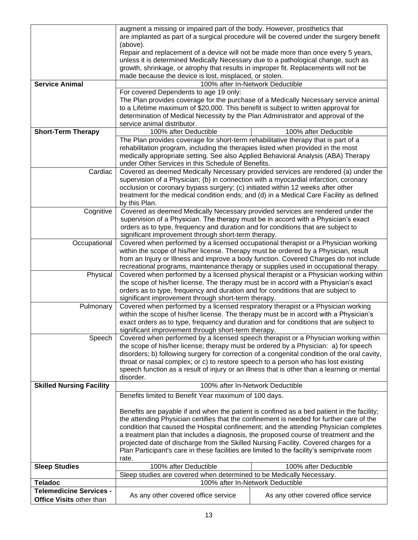|                                 | augment a missing or impaired part of the body. However, prosthetics that                                                                                                  |                                                                                              |  |
|---------------------------------|----------------------------------------------------------------------------------------------------------------------------------------------------------------------------|----------------------------------------------------------------------------------------------|--|
|                                 | are implanted as part of a surgical procedure will be covered under the surgery benefit                                                                                    |                                                                                              |  |
|                                 | (above).                                                                                                                                                                   |                                                                                              |  |
|                                 | Repair and replacement of a device will not be made more than once every 5 years,                                                                                          |                                                                                              |  |
|                                 | unless it is determined Medically Necessary due to a pathological change, such as                                                                                          |                                                                                              |  |
|                                 | growth, shrinkage, or atrophy that results in improper fit. Replacements will not be                                                                                       |                                                                                              |  |
|                                 | made because the device is lost, misplaced, or stolen.                                                                                                                     |                                                                                              |  |
| <b>Service Animal</b>           | 100% after In-Network Deductible                                                                                                                                           |                                                                                              |  |
|                                 | For covered Dependents to age 19 only:                                                                                                                                     |                                                                                              |  |
|                                 |                                                                                                                                                                            | The Plan provides coverage for the purchase of a Medically Necessary service animal          |  |
|                                 | to a Lifetime maximum of \$20,000. This benefit is subject to written approval for                                                                                         |                                                                                              |  |
|                                 | determination of Medical Necessity by the Plan Administrator and approval of the                                                                                           |                                                                                              |  |
|                                 | service animal distributor.                                                                                                                                                |                                                                                              |  |
| <b>Short-Term Therapy</b>       | 100% after Deductible                                                                                                                                                      | 100% after Deductible                                                                        |  |
|                                 | The Plan provides coverage for short-term rehabilitative therapy that is part of a                                                                                         |                                                                                              |  |
|                                 | rehabilitation program, including the therapies listed when provided in the most                                                                                           |                                                                                              |  |
|                                 | medically appropriate setting. See also Applied Behavioral Analysis (ABA) Therapy                                                                                          |                                                                                              |  |
|                                 | under Other Services in this Schedule of Benefits.                                                                                                                         |                                                                                              |  |
| Cardiac                         |                                                                                                                                                                            | Covered as deemed Medically Necessary provided services are rendered (a) under the           |  |
|                                 | supervision of a Physician; (b) in connection with a myocardial infarction, coronary                                                                                       |                                                                                              |  |
|                                 | occlusion or coronary bypass surgery; (c) initiated within 12 weeks after other                                                                                            |                                                                                              |  |
|                                 | treatment for the medical condition ends; and (d) in a Medical Care Facility as defined                                                                                    |                                                                                              |  |
|                                 | by this Plan.                                                                                                                                                              |                                                                                              |  |
| Cognitive                       | Covered as deemed Medically Necessary provided services are rendered under the                                                                                             |                                                                                              |  |
|                                 | supervision of a Physician. The therapy must be in accord with a Physician's exact                                                                                         |                                                                                              |  |
|                                 | orders as to type, frequency and duration and for conditions that are subject to                                                                                           |                                                                                              |  |
|                                 | significant improvement through short-term therapy.                                                                                                                        |                                                                                              |  |
| Occupational                    | Covered when performed by a licensed occupational therapist or a Physician working                                                                                         |                                                                                              |  |
|                                 | within the scope of his/her license. Therapy must be ordered by a Physician, result                                                                                        |                                                                                              |  |
|                                 |                                                                                                                                                                            | from an Injury or Illness and improve a body function. Covered Charges do not include        |  |
|                                 | recreational programs, maintenance therapy or supplies used in occupational therapy.                                                                                       |                                                                                              |  |
| Physical                        | Covered when performed by a licensed physical therapist or a Physician working within                                                                                      |                                                                                              |  |
|                                 | the scope of his/her license. The therapy must be in accord with a Physician's exact                                                                                       |                                                                                              |  |
|                                 | orders as to type, frequency and duration and for conditions that are subject to                                                                                           |                                                                                              |  |
|                                 | significant improvement through short-term therapy.                                                                                                                        |                                                                                              |  |
| Pulmonary                       | Covered when performed by a licensed respiratory therapist or a Physician working                                                                                          |                                                                                              |  |
|                                 | within the scope of his/her license. The therapy must be in accord with a Physician's                                                                                      |                                                                                              |  |
|                                 | exact orders as to type, frequency and duration and for conditions that are subject to                                                                                     |                                                                                              |  |
|                                 | significant improvement through short-term therapy.                                                                                                                        |                                                                                              |  |
| Speech                          | Covered when performed by a licensed speech therapist or a Physician working within<br>the scope of his/her license; therapy must be ordered by a Physician: a) for speech |                                                                                              |  |
|                                 |                                                                                                                                                                            | disorders; b) following surgery for correction of a congenital condition of the oral cavity, |  |
|                                 | throat or nasal complex; or c) to restore speech to a person who has lost existing                                                                                         |                                                                                              |  |
|                                 |                                                                                                                                                                            |                                                                                              |  |
|                                 | speech function as a result of injury or an illness that is other than a learning or mental<br>disorder.                                                                   |                                                                                              |  |
| <b>Skilled Nursing Facility</b> | 100% after In-Network Deductible                                                                                                                                           |                                                                                              |  |
|                                 |                                                                                                                                                                            |                                                                                              |  |
|                                 | Benefits limited to Benefit Year maximum of 100 days.                                                                                                                      |                                                                                              |  |
|                                 | Benefits are payable if and when the patient is confined as a bed patient in the facility;                                                                                 |                                                                                              |  |
|                                 | the attending Physician certifies that the confinement is needed for further care of the                                                                                   |                                                                                              |  |
|                                 |                                                                                                                                                                            |                                                                                              |  |
|                                 | a treatment plan that includes a diagnosis, the proposed course of treatment and the                                                                                       | condition that caused the Hospital confinement; and the attending Physician completes        |  |
|                                 | projected date of discharge from the Skilled Nursing Facility. Covered charges for a                                                                                       |                                                                                              |  |
|                                 | Plan Participant's care in these facilities are limited to the facility's semiprivate room                                                                                 |                                                                                              |  |
|                                 | rate.                                                                                                                                                                      |                                                                                              |  |
| <b>Sleep Studies</b>            | 100% after Deductible                                                                                                                                                      | 100% after Deductible                                                                        |  |
|                                 | Sleep studies are covered when determined to be Medically Necessary.                                                                                                       |                                                                                              |  |
| <b>Teladoc</b>                  |                                                                                                                                                                            | 100% after In-Network Deductible                                                             |  |
| <b>Telemedicine Services -</b>  |                                                                                                                                                                            |                                                                                              |  |
| Office Visits other than        | As any other covered office service                                                                                                                                        | As any other covered office service                                                          |  |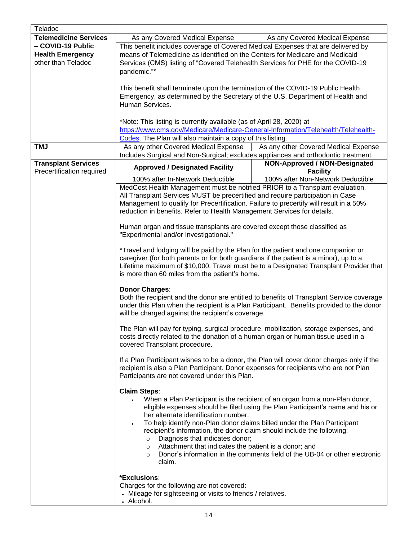| Teladoc                      |                                                                                                                                                                                |                                                                                |  |
|------------------------------|--------------------------------------------------------------------------------------------------------------------------------------------------------------------------------|--------------------------------------------------------------------------------|--|
|                              |                                                                                                                                                                                |                                                                                |  |
| <b>Telemedicine Services</b> | As any Covered Medical Expense                                                                                                                                                 | As any Covered Medical Expense                                                 |  |
| - COVID-19 Public            | This benefit includes coverage of Covered Medical Expenses that are delivered by                                                                                               |                                                                                |  |
| <b>Health Emergency</b>      | means of Telemedicine as identified on the Centers for Medicare and Medicaid                                                                                                   |                                                                                |  |
| other than Teladoc           | Services (CMS) listing of "Covered Telehealth Services for PHE for the COVID-19                                                                                                |                                                                                |  |
|                              | pandemic."*                                                                                                                                                                    |                                                                                |  |
|                              |                                                                                                                                                                                |                                                                                |  |
|                              | This benefit shall terminate upon the termination of the COVID-19 Public Health                                                                                                |                                                                                |  |
|                              | Emergency, as determined by the Secretary of the U.S. Department of Health and                                                                                                 |                                                                                |  |
|                              | Human Services.                                                                                                                                                                |                                                                                |  |
|                              |                                                                                                                                                                                |                                                                                |  |
|                              |                                                                                                                                                                                |                                                                                |  |
|                              | *Note: This listing is currently available (as of April 28, 2020) at                                                                                                           |                                                                                |  |
|                              | https://www.cms.gov/Medicare/Medicare-General-Information/Telehealth/Telehealth-                                                                                               |                                                                                |  |
|                              | Codes. The Plan will also maintain a copy of this listing.                                                                                                                     |                                                                                |  |
| <b>TMJ</b>                   | As any other Covered Medical Expense                                                                                                                                           | As any other Covered Medical Expense                                           |  |
|                              | Includes Surgical and Non-Surgical; excludes appliances and orthodontic treatment.                                                                                             |                                                                                |  |
| <b>Transplant Services</b>   |                                                                                                                                                                                | NON-Approved / NON-Designated                                                  |  |
| Precertification required    | <b>Approved / Designated Facility</b>                                                                                                                                          | <b>Facility</b>                                                                |  |
|                              | 100% after In-Network Deductible                                                                                                                                               | 100% after Non-Network Deductible                                              |  |
|                              | MedCost Health Management must be notified PRIOR to a Transplant evaluation.                                                                                                   |                                                                                |  |
|                              | All Transplant Services MUST be precertified and require participation in Case                                                                                                 |                                                                                |  |
|                              | Management to qualify for Precertification. Failure to precertify will result in a 50%                                                                                         |                                                                                |  |
|                              | reduction in benefits. Refer to Health Management Services for details.                                                                                                        |                                                                                |  |
|                              |                                                                                                                                                                                |                                                                                |  |
|                              |                                                                                                                                                                                |                                                                                |  |
|                              | Human organ and tissue transplants are covered except those classified as                                                                                                      |                                                                                |  |
|                              | "Experimental and/or Investigational."                                                                                                                                         |                                                                                |  |
|                              |                                                                                                                                                                                |                                                                                |  |
|                              | *Travel and lodging will be paid by the Plan for the patient and one companion or                                                                                              |                                                                                |  |
|                              | caregiver (for both parents or for both guardians if the patient is a minor), up to a<br>Lifetime maximum of \$10,000. Travel must be to a Designated Transplant Provider that |                                                                                |  |
|                              |                                                                                                                                                                                |                                                                                |  |
|                              | is more than 60 miles from the patient's home.                                                                                                                                 |                                                                                |  |
|                              |                                                                                                                                                                                |                                                                                |  |
|                              | <b>Donor Charges:</b>                                                                                                                                                          |                                                                                |  |
|                              | Both the recipient and the donor are entitled to benefits of Transplant Service coverage                                                                                       |                                                                                |  |
|                              | under this Plan when the recipient is a Plan Participant. Benefits provided to the donor                                                                                       |                                                                                |  |
|                              | will be charged against the recipient's coverage.                                                                                                                              |                                                                                |  |
|                              |                                                                                                                                                                                |                                                                                |  |
|                              | The Plan will pay for typing, surgical procedure, mobilization, storage expenses, and                                                                                          |                                                                                |  |
|                              | costs directly related to the donation of a human organ or human tissue used in a                                                                                              |                                                                                |  |
|                              | covered Transplant procedure.                                                                                                                                                  |                                                                                |  |
|                              |                                                                                                                                                                                |                                                                                |  |
|                              | If a Plan Participant wishes to be a donor, the Plan will cover donor charges only if the                                                                                      |                                                                                |  |
|                              | recipient is also a Plan Participant. Donor expenses for recipients who are not Plan                                                                                           |                                                                                |  |
|                              | Participants are not covered under this Plan.                                                                                                                                  |                                                                                |  |
|                              |                                                                                                                                                                                |                                                                                |  |
|                              | <b>Claim Steps:</b>                                                                                                                                                            |                                                                                |  |
|                              | $\bullet$                                                                                                                                                                      | When a Plan Participant is the recipient of an organ from a non-Plan donor,    |  |
|                              |                                                                                                                                                                                | eligible expenses should be filed using the Plan Participant's name and his or |  |
|                              | her alternate identification number.                                                                                                                                           |                                                                                |  |
|                              |                                                                                                                                                                                | To help identify non-Plan donor claims billed under the Plan Participant       |  |
|                              | recipient's information, the donor claim should include the following:                                                                                                         |                                                                                |  |
|                              | Diagnosis that indicates donor;<br>$\circ$                                                                                                                                     |                                                                                |  |
|                              | Attachment that indicates the patient is a donor; and<br>$\circ$                                                                                                               |                                                                                |  |
|                              | $\circ$                                                                                                                                                                        | Donor's information in the comments field of the UB-04 or other electronic     |  |
|                              | claim.                                                                                                                                                                         |                                                                                |  |
|                              |                                                                                                                                                                                |                                                                                |  |
|                              | *Exclusions:                                                                                                                                                                   |                                                                                |  |
|                              | Charges for the following are not covered:                                                                                                                                     |                                                                                |  |
|                              | • Mileage for sightseeing or visits to friends / relatives.                                                                                                                    |                                                                                |  |
|                              |                                                                                                                                                                                |                                                                                |  |
|                              | • Alcohol.                                                                                                                                                                     |                                                                                |  |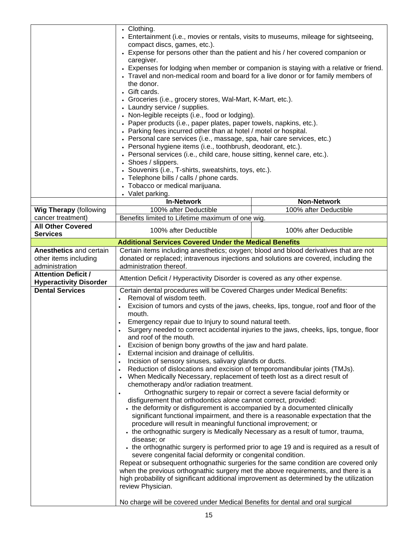|                                                                                                                                          | • Clothing.<br>• Entertainment (i.e., movies or rentals, visits to museums, mileage for sightseeing,<br>compact discs, games, etc.).<br>• Expense for persons other than the patient and his / her covered companion or<br>caregiver.<br>• Expenses for lodging when member or companion is staying with a relative or friend.<br>• Travel and non-medical room and board for a live donor or for family members of<br>the donor.<br>• Gift cards.<br>• Groceries (i.e., grocery stores, Wal-Mart, K-Mart, etc.).<br>• Laundry service / supplies.<br>• Non-legible receipts (i.e., food or lodging).<br>• Paper products (i.e., paper plates, paper towels, napkins, etc.).<br>• Parking fees incurred other than at hotel / motel or hospital.<br>• Personal care services (i.e., massage, spa, hair care services, etc.)<br>• Personal hygiene items (i.e., toothbrush, deodorant, etc.).<br>• Personal services (i.e., child care, house sitting, kennel care, etc.).<br>• Shoes / slippers.<br>• Souvenirs (i.e., T-shirts, sweatshirts, toys, etc.).<br>• Telephone bills / calls / phone cards.<br>• Tobacco or medical marijuana.                                                                                                                                                                                                                                                                                                                                                                                                                                                                                                                                                                                                                                                                                                |                       |
|------------------------------------------------------------------------------------------------------------------------------------------|------------------------------------------------------------------------------------------------------------------------------------------------------------------------------------------------------------------------------------------------------------------------------------------------------------------------------------------------------------------------------------------------------------------------------------------------------------------------------------------------------------------------------------------------------------------------------------------------------------------------------------------------------------------------------------------------------------------------------------------------------------------------------------------------------------------------------------------------------------------------------------------------------------------------------------------------------------------------------------------------------------------------------------------------------------------------------------------------------------------------------------------------------------------------------------------------------------------------------------------------------------------------------------------------------------------------------------------------------------------------------------------------------------------------------------------------------------------------------------------------------------------------------------------------------------------------------------------------------------------------------------------------------------------------------------------------------------------------------------------------------------------------------------------------------------------------------------------|-----------------------|
|                                                                                                                                          | • Valet parking.<br><b>In-Network</b>                                                                                                                                                                                                                                                                                                                                                                                                                                                                                                                                                                                                                                                                                                                                                                                                                                                                                                                                                                                                                                                                                                                                                                                                                                                                                                                                                                                                                                                                                                                                                                                                                                                                                                                                                                                                    | <b>Non-Network</b>    |
| <b>Wig Therapy (following</b>                                                                                                            | 100% after Deductible                                                                                                                                                                                                                                                                                                                                                                                                                                                                                                                                                                                                                                                                                                                                                                                                                                                                                                                                                                                                                                                                                                                                                                                                                                                                                                                                                                                                                                                                                                                                                                                                                                                                                                                                                                                                                    | 100% after Deductible |
| cancer treatment)                                                                                                                        | Benefits limited to Lifetime maximum of one wig.                                                                                                                                                                                                                                                                                                                                                                                                                                                                                                                                                                                                                                                                                                                                                                                                                                                                                                                                                                                                                                                                                                                                                                                                                                                                                                                                                                                                                                                                                                                                                                                                                                                                                                                                                                                         |                       |
| <b>All Other Covered</b>                                                                                                                 |                                                                                                                                                                                                                                                                                                                                                                                                                                                                                                                                                                                                                                                                                                                                                                                                                                                                                                                                                                                                                                                                                                                                                                                                                                                                                                                                                                                                                                                                                                                                                                                                                                                                                                                                                                                                                                          |                       |
| <b>Services</b>                                                                                                                          | 100% after Deductible                                                                                                                                                                                                                                                                                                                                                                                                                                                                                                                                                                                                                                                                                                                                                                                                                                                                                                                                                                                                                                                                                                                                                                                                                                                                                                                                                                                                                                                                                                                                                                                                                                                                                                                                                                                                                    | 100% after Deductible |
|                                                                                                                                          | <b>Additional Services Covered Under the Medical Benefits</b>                                                                                                                                                                                                                                                                                                                                                                                                                                                                                                                                                                                                                                                                                                                                                                                                                                                                                                                                                                                                                                                                                                                                                                                                                                                                                                                                                                                                                                                                                                                                                                                                                                                                                                                                                                            |                       |
| <b>Anesthetics and certain</b><br>other items including<br>administration<br><b>Attention Deficit /</b><br><b>Hyperactivity Disorder</b> | Certain items including anesthetics; oxygen; blood and blood derivatives that are not<br>donated or replaced; intravenous injections and solutions are covered, including the<br>administration thereof.<br>Attention Deficit / Hyperactivity Disorder is covered as any other expense.                                                                                                                                                                                                                                                                                                                                                                                                                                                                                                                                                                                                                                                                                                                                                                                                                                                                                                                                                                                                                                                                                                                                                                                                                                                                                                                                                                                                                                                                                                                                                  |                       |
| <b>Dental Services</b>                                                                                                                   | Certain dental procedures will be Covered Charges under Medical Benefits:<br>Removal of wisdom teeth.<br>Excision of tumors and cysts of the jaws, cheeks, lips, tongue, roof and floor of the<br>mouth.<br>Emergency repair due to Injury to sound natural teeth.<br>Surgery needed to correct accidental injuries to the jaws, cheeks, lips, tongue, floor<br>and roof of the mouth.<br>Excision of benign bony growths of the jaw and hard palate.<br>External incision and drainage of cellulitis.<br>$\bullet$<br>Incision of sensory sinuses, salivary glands or ducts.<br>$\bullet$<br>Reduction of dislocations and excision of temporomandibular joints (TMJs).<br>$\bullet$<br>When Medically Necessary, replacement of teeth lost as a direct result of<br>chemotherapy and/or radiation treatment.<br>Orthognathic surgery to repair or correct a severe facial deformity or<br>disfigurement that orthodontics alone cannot correct, provided:<br>• the deformity or disfigurement is accompanied by a documented clinically<br>significant functional impairment, and there is a reasonable expectation that the<br>procedure will result in meaningful functional improvement; or<br>• the orthognathic surgery is Medically Necessary as a result of tumor, trauma,<br>disease; or<br>• the orthognathic surgery is performed prior to age 19 and is required as a result of<br>severe congenital facial deformity or congenital condition.<br>Repeat or subsequent orthognathic surgeries for the same condition are covered only<br>when the previous orthognathic surgery met the above requirements, and there is a<br>high probability of significant additional improvement as determined by the utilization<br>review Physician.<br>No charge will be covered under Medical Benefits for dental and oral surgical |                       |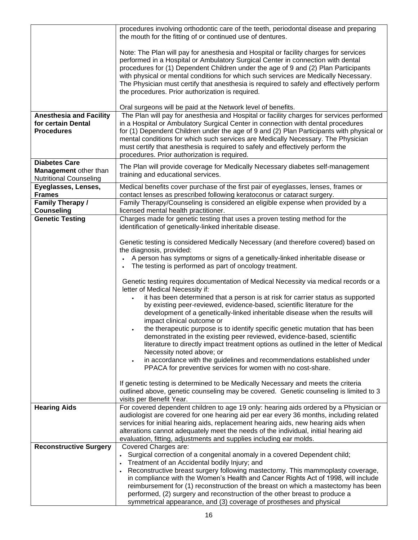|                                                                                | procedures involving orthodontic care of the teeth, periodontal disease and preparing<br>the mouth for the fitting of or continued use of dentures.                                                                                                                                                                                                                                                                                                                                                  |
|--------------------------------------------------------------------------------|------------------------------------------------------------------------------------------------------------------------------------------------------------------------------------------------------------------------------------------------------------------------------------------------------------------------------------------------------------------------------------------------------------------------------------------------------------------------------------------------------|
|                                                                                | Note: The Plan will pay for anesthesia and Hospital or facility charges for services<br>performed in a Hospital or Ambulatory Surgical Center in connection with dental<br>procedures for (1) Dependent Children under the age of 9 and (2) Plan Participants<br>with physical or mental conditions for which such services are Medically Necessary.<br>The Physician must certify that anesthesia is required to safely and effectively perform<br>the procedures. Prior authorization is required. |
|                                                                                | Oral surgeons will be paid at the Network level of benefits.                                                                                                                                                                                                                                                                                                                                                                                                                                         |
| <b>Anesthesia and Facility</b><br>for certain Dental<br><b>Procedures</b>      | The Plan will pay for anesthesia and Hospital or facility charges for services performed<br>in a Hospital or Ambulatory Surgical Center in connection with dental procedures<br>for (1) Dependent Children under the age of 9 and (2) Plan Participants with physical or<br>mental conditions for which such services are Medically Necessary. The Physician<br>must certify that anesthesia is required to safely and effectively perform the<br>procedures. Prior authorization is required.       |
| <b>Diabetes Care</b><br>Management other than<br><b>Nutritional Counseling</b> | The Plan will provide coverage for Medically Necessary diabetes self-management<br>training and educational services.                                                                                                                                                                                                                                                                                                                                                                                |
| Eyeglasses, Lenses,<br><b>Frames</b>                                           | Medical benefits cover purchase of the first pair of eyeglasses, lenses, frames or<br>contact lenses as prescribed following keratoconus or cataract surgery.                                                                                                                                                                                                                                                                                                                                        |
| <b>Family Therapy /</b>                                                        | Family Therapy/Counseling is considered an eligible expense when provided by a                                                                                                                                                                                                                                                                                                                                                                                                                       |
| <b>Counseling</b>                                                              | licensed mental health practitioner.                                                                                                                                                                                                                                                                                                                                                                                                                                                                 |
| <b>Genetic Testing</b>                                                         | Charges made for genetic testing that uses a proven testing method for the<br>identification of genetically-linked inheritable disease.                                                                                                                                                                                                                                                                                                                                                              |
|                                                                                |                                                                                                                                                                                                                                                                                                                                                                                                                                                                                                      |
|                                                                                | Genetic testing is considered Medically Necessary (and therefore covered) based on                                                                                                                                                                                                                                                                                                                                                                                                                   |
|                                                                                | the diagnosis, provided:                                                                                                                                                                                                                                                                                                                                                                                                                                                                             |
|                                                                                | A person has symptoms or signs of a genetically-linked inheritable disease or<br>The testing is performed as part of oncology treatment.                                                                                                                                                                                                                                                                                                                                                             |
|                                                                                | Genetic testing requires documentation of Medical Necessity via medical records or a<br>letter of Medical Necessity if:                                                                                                                                                                                                                                                                                                                                                                              |
|                                                                                | it has been determined that a person is at risk for carrier status as supported<br>by existing peer-reviewed, evidence-based, scientific literature for the<br>development of a genetically-linked inheritable disease when the results will                                                                                                                                                                                                                                                         |
|                                                                                | impact clinical outcome or<br>the therapeutic purpose is to identify specific genetic mutation that has been                                                                                                                                                                                                                                                                                                                                                                                         |
|                                                                                | demonstrated in the existing peer reviewed, evidence-based, scientific<br>literature to directly impact treatment options as outlined in the letter of Medical                                                                                                                                                                                                                                                                                                                                       |
|                                                                                | Necessity noted above; or                                                                                                                                                                                                                                                                                                                                                                                                                                                                            |
|                                                                                | in accordance with the guidelines and recommendations established under<br>PPACA for preventive services for women with no cost-share.                                                                                                                                                                                                                                                                                                                                                               |
|                                                                                | If genetic testing is determined to be Medically Necessary and meets the criteria                                                                                                                                                                                                                                                                                                                                                                                                                    |
|                                                                                | outlined above, genetic counseling may be covered. Genetic counseling is limited to 3<br>visits per Benefit Year.                                                                                                                                                                                                                                                                                                                                                                                    |
| <b>Hearing Aids</b>                                                            | For covered dependent children to age 19 only: hearing aids ordered by a Physician or                                                                                                                                                                                                                                                                                                                                                                                                                |
|                                                                                | audiologist are covered for one hearing aid per ear every 36 months, including related                                                                                                                                                                                                                                                                                                                                                                                                               |
|                                                                                | services for initial hearing aids, replacement hearing aids, new hearing aids when<br>alterations cannot adequately meet the needs of the individual, initial hearing aid                                                                                                                                                                                                                                                                                                                            |
|                                                                                | evaluation, fitting, adjustments and supplies including ear molds.                                                                                                                                                                                                                                                                                                                                                                                                                                   |
| <b>Reconstructive Surgery</b>                                                  | Covered Charges are:                                                                                                                                                                                                                                                                                                                                                                                                                                                                                 |
|                                                                                | Surgical correction of a congenital anomaly in a covered Dependent child;                                                                                                                                                                                                                                                                                                                                                                                                                            |
|                                                                                | Treatment of an Accidental bodily Injury; and                                                                                                                                                                                                                                                                                                                                                                                                                                                        |
|                                                                                | Reconstructive breast surgery following mastectomy. This mammoplasty coverage,<br>in compliance with the Women's Health and Cancer Rights Act of 1998, will include                                                                                                                                                                                                                                                                                                                                  |
|                                                                                | reimbursement for (1) reconstruction of the breast on which a mastectomy has been                                                                                                                                                                                                                                                                                                                                                                                                                    |
|                                                                                | performed, (2) surgery and reconstruction of the other breast to produce a                                                                                                                                                                                                                                                                                                                                                                                                                           |
|                                                                                | symmetrical appearance, and (3) coverage of prostheses and physical                                                                                                                                                                                                                                                                                                                                                                                                                                  |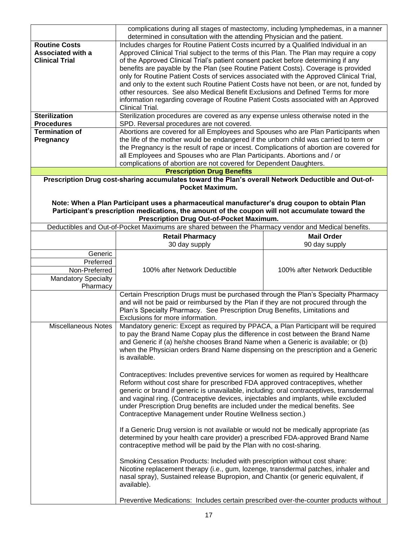|                                                                                                                                                                                                  | complications during all stages of mastectomy, including lymphedemas, in a manner                                                                                             |                               |  |  |
|--------------------------------------------------------------------------------------------------------------------------------------------------------------------------------------------------|-------------------------------------------------------------------------------------------------------------------------------------------------------------------------------|-------------------------------|--|--|
| <b>Routine Costs</b>                                                                                                                                                                             | determined in consultation with the attending Physician and the patient.                                                                                                      |                               |  |  |
| <b>Associated with a</b>                                                                                                                                                                         | Includes charges for Routine Patient Costs incurred by a Qualified Individual in an<br>Approved Clinical Trial subject to the terms of this Plan. The Plan may require a copy |                               |  |  |
| <b>Clinical Trial</b>                                                                                                                                                                            | of the Approved Clinical Trial's patient consent packet before determining if any                                                                                             |                               |  |  |
|                                                                                                                                                                                                  | benefits are payable by the Plan (see Routine Patient Costs). Coverage is provided                                                                                            |                               |  |  |
|                                                                                                                                                                                                  | only for Routine Patient Costs of services associated with the Approved Clinical Trial,                                                                                       |                               |  |  |
|                                                                                                                                                                                                  | and only to the extent such Routine Patient Costs have not been, or are not, funded by                                                                                        |                               |  |  |
|                                                                                                                                                                                                  | other resources. See also Medical Benefit Exclusions and Defined Terms for more                                                                                               |                               |  |  |
|                                                                                                                                                                                                  | information regarding coverage of Routine Patient Costs associated with an Approved<br>Clinical Trial.                                                                        |                               |  |  |
| <b>Sterilization</b>                                                                                                                                                                             | Sterilization procedures are covered as any expense unless otherwise noted in the                                                                                             |                               |  |  |
| <b>Procedures</b>                                                                                                                                                                                | SPD. Reversal procedures are not covered.                                                                                                                                     |                               |  |  |
| <b>Termination of</b>                                                                                                                                                                            | Abortions are covered for all Employees and Spouses who are Plan Participants when                                                                                            |                               |  |  |
| Pregnancy                                                                                                                                                                                        | the life of the mother would be endangered if the unborn child was carried to term or                                                                                         |                               |  |  |
|                                                                                                                                                                                                  | the Pregnancy is the result of rape or incest. Complications of abortion are covered for                                                                                      |                               |  |  |
|                                                                                                                                                                                                  | all Employees and Spouses who are Plan Participants. Abortions and / or<br>complications of abortion are not covered for Dependent Daughters.                                 |                               |  |  |
|                                                                                                                                                                                                  | <b>Prescription Drug Benefits</b>                                                                                                                                             |                               |  |  |
|                                                                                                                                                                                                  | Prescription Drug cost-sharing accumulates toward the Plan's overall Network Deductible and Out-of-                                                                           |                               |  |  |
| Pocket Maximum.                                                                                                                                                                                  |                                                                                                                                                                               |                               |  |  |
|                                                                                                                                                                                                  |                                                                                                                                                                               |                               |  |  |
| Note: When a Plan Participant uses a pharmaceutical manufacturer's drug coupon to obtain Plan<br>Participant's prescription medications, the amount of the coupon will not accumulate toward the |                                                                                                                                                                               |                               |  |  |
|                                                                                                                                                                                                  | Prescription Drug Out-of-Pocket Maximum.                                                                                                                                      |                               |  |  |
|                                                                                                                                                                                                  | Deductibles and Out-of-Pocket Maximums are shared between the Pharmacy vendor and Medical benefits.                                                                           |                               |  |  |
|                                                                                                                                                                                                  | <b>Retail Pharmacy</b>                                                                                                                                                        | <b>Mail Order</b>             |  |  |
|                                                                                                                                                                                                  | 30 day supply                                                                                                                                                                 | 90 day supply                 |  |  |
| Generic                                                                                                                                                                                          |                                                                                                                                                                               |                               |  |  |
| Preferred                                                                                                                                                                                        |                                                                                                                                                                               |                               |  |  |
| Non-Preferred                                                                                                                                                                                    | 100% after Network Deductible                                                                                                                                                 | 100% after Network Deductible |  |  |
| <b>Mandatory Specialty</b>                                                                                                                                                                       |                                                                                                                                                                               |                               |  |  |
| Pharmacy                                                                                                                                                                                         | Certain Prescription Drugs must be purchased through the Plan's Specialty Pharmacy                                                                                            |                               |  |  |
|                                                                                                                                                                                                  |                                                                                                                                                                               |                               |  |  |
|                                                                                                                                                                                                  | and will not be paid or reimbursed by the Plan if they are not procured through the<br>Plan's Specialty Pharmacy. See Prescription Drug Benefits, Limitations and             |                               |  |  |
|                                                                                                                                                                                                  | Exclusions for more information.                                                                                                                                              |                               |  |  |
| <b>Miscellaneous Notes</b>                                                                                                                                                                       | Mandatory generic: Except as required by PPACA, a Plan Participant will be required                                                                                           |                               |  |  |
|                                                                                                                                                                                                  | to pay the Brand Name Copay plus the difference in cost between the Brand Name                                                                                                |                               |  |  |
|                                                                                                                                                                                                  | and Generic if (a) he/she chooses Brand Name when a Generic is available; or (b)<br>when the Physician orders Brand Name dispensing on the prescription and a Generic         |                               |  |  |
|                                                                                                                                                                                                  | is available.                                                                                                                                                                 |                               |  |  |
|                                                                                                                                                                                                  |                                                                                                                                                                               |                               |  |  |
|                                                                                                                                                                                                  | Contraceptives: Includes preventive services for women as required by Healthcare                                                                                              |                               |  |  |
|                                                                                                                                                                                                  | Reform without cost share for prescribed FDA approved contraceptives, whether                                                                                                 |                               |  |  |
|                                                                                                                                                                                                  | generic or brand if generic is unavailable, including: oral contraceptives, transdermal                                                                                       |                               |  |  |
|                                                                                                                                                                                                  | and vaginal ring. (Contraceptive devices, injectables and implants, while excluded                                                                                            |                               |  |  |
|                                                                                                                                                                                                  | under Prescription Drug benefits are included under the medical benefits. See                                                                                                 |                               |  |  |
|                                                                                                                                                                                                  | Contraceptive Management under Routine Wellness section.)                                                                                                                     |                               |  |  |
|                                                                                                                                                                                                  | If a Generic Drug version is not available or would not be medically appropriate (as                                                                                          |                               |  |  |
|                                                                                                                                                                                                  | determined by your health care provider) a prescribed FDA-approved Brand Name                                                                                                 |                               |  |  |
|                                                                                                                                                                                                  | contraceptive method will be paid by the Plan with no cost-sharing.                                                                                                           |                               |  |  |
|                                                                                                                                                                                                  |                                                                                                                                                                               |                               |  |  |
|                                                                                                                                                                                                  | Smoking Cessation Products: Included with prescription without cost share:                                                                                                    |                               |  |  |
|                                                                                                                                                                                                  | Nicotine replacement therapy (i.e., gum, lozenge, transdermal patches, inhaler and<br>nasal spray), Sustained release Bupropion, and Chantix (or generic equivalent, if       |                               |  |  |
|                                                                                                                                                                                                  | available).                                                                                                                                                                   |                               |  |  |
|                                                                                                                                                                                                  |                                                                                                                                                                               |                               |  |  |
|                                                                                                                                                                                                  | Preventive Medications: Includes certain prescribed over-the-counter products without                                                                                         |                               |  |  |